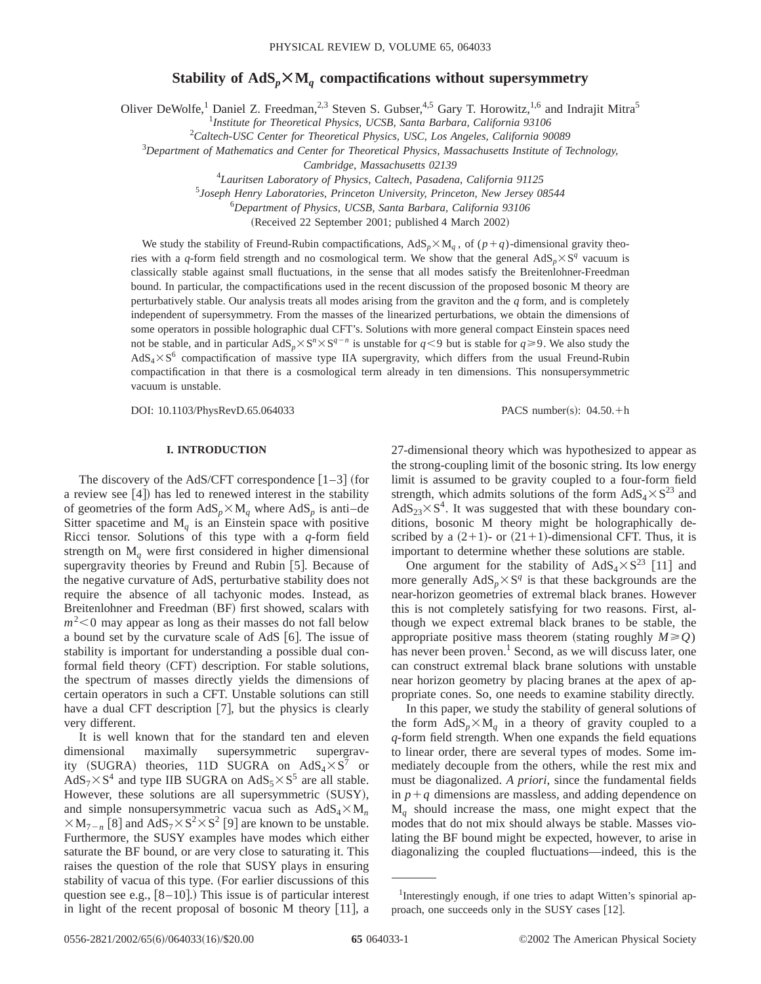# Stability of  $AdS_p \times M_q$  compactifications without supersymmetry

Oliver DeWolfe,<sup>1</sup> Daniel Z. Freedman,<sup>2,3</sup> Steven S. Gubser,<sup>4,5</sup> Gary T. Horowitz,<sup>1,6</sup> and Indrajit Mitra<sup>5</sup>

1 *Institute for Theoretical Physics, UCSB, Santa Barbara, California 93106*

2 *Caltech-USC Center for Theoretical Physics, USC, Los Angeles, California 90089*

3 *Department of Mathematics and Center for Theoretical Physics, Massachusetts Institute of Technology,*

*Cambridge, Massachusetts 02139*

4 *Lauritsen Laboratory of Physics, Caltech, Pasadena, California 91125*

5 *Joseph Henry Laboratories, Princeton University, Princeton, New Jersey 08544*

6 *Department of Physics, UCSB, Santa Barbara, California 93106*

(Received 22 September 2001; published 4 March 2002)

We study the stability of Freund-Rubin compactifications,  $AdS_p\times M_q$ , of  $(p+q)$ -dimensional gravity theories with a *q*-form field strength and no cosmological term. We show that the general  $AdS_p\times S^q$  vacuum is classically stable against small fluctuations, in the sense that all modes satisfy the Breitenlohner-Freedman bound. In particular, the compactifications used in the recent discussion of the proposed bosonic M theory are perturbatively stable. Our analysis treats all modes arising from the graviton and the *q* form, and is completely independent of supersymmetry. From the masses of the linearized perturbations, we obtain the dimensions of some operators in possible holographic dual CFT's. Solutions with more general compact Einstein spaces need not be stable, and in particular  $AdS_n \times S^n \times S^{q-n}$  is unstable for  $q \leq 9$  but is stable for  $q \geq 9$ . We also study the  $AdS_4\times S^6$  compactification of massive type IIA supergravity, which differs from the usual Freund-Rubin compactification in that there is a cosmological term already in ten dimensions. This nonsupersymmetric vacuum is unstable.

DOI: 10.1103/PhysRevD.65.064033 PACS number(s): 04.50.+h

# **I. INTRODUCTION**

The discovery of the AdS/CFT correspondence  $\lceil 1-3 \rceil$  (for a review see  $[4]$ ) has led to renewed interest in the stability of geometries of the form  $AdS_p \times M_q$  where  $AdS_p$  is anti–de Sitter spacetime and  $M_q$  is an Einstein space with positive Ricci tensor. Solutions of this type with a *q*-form field strength on M*<sup>q</sup>* were first considered in higher dimensional supergravity theories by Freund and Rubin  $[5]$ . Because of the negative curvature of AdS, perturbative stability does not require the absence of all tachyonic modes. Instead, as Breitenlohner and Freedman (BF) first showed, scalars with  $m^2$ <0 may appear as long as their masses do not fall below a bound set by the curvature scale of AdS  $[6]$ . The issue of stability is important for understanding a possible dual conformal field theory (CFT) description. For stable solutions, the spectrum of masses directly yields the dimensions of certain operators in such a CFT. Unstable solutions can still have a dual CFT description  $[7]$ , but the physics is clearly very different.

It is well known that for the standard ten and eleven dimensional maximally supersymmetric supergravity (SUGRA) theories, 11D SUGRA on  $AdS_4 \times S^7$  or  $AdS_7 \times S^4$  and type IIB SUGRA on  $AdS_5 \times S^5$  are all stable. However, these solutions are all supersymmetric (SUSY), and simple nonsupersymmetric vacua such as  $AdS_4 \times M_n$  $\times M_{7-n}$  [8] and AdS<sub>7</sub> $\times S^2 \times S^2$  [9] are known to be unstable. Furthermore, the SUSY examples have modes which either saturate the BF bound, or are very close to saturating it. This raises the question of the role that SUSY plays in ensuring stability of vacua of this type. (For earlier discussions of this question see e.g.,  $[8-10]$ .) This issue is of particular interest in light of the recent proposal of bosonic M theory  $[11]$ , a

27-dimensional theory which was hypothesized to appear as the strong-coupling limit of the bosonic string. Its low energy limit is assumed to be gravity coupled to a four-form field strength, which admits solutions of the form  $AdS_4 \times S^{23}$  and  $AdS_{23}\times S^4$ . It was suggested that with these boundary conditions, bosonic M theory might be holographically described by a  $(2+1)$ - or  $(21+1)$ -dimensional CFT. Thus, it is important to determine whether these solutions are stable.

One argument for the stability of  $AdS_4 \times S^{23}$  [11] and more generally  $AdS_p \times S^q$  is that these backgrounds are the near-horizon geometries of extremal black branes. However this is not completely satisfying for two reasons. First, although we expect extremal black branes to be stable, the appropriate positive mass theorem (stating roughly  $M \geq Q$ ) has never been proven.<sup>1</sup> Second, as we will discuss later, one can construct extremal black brane solutions with unstable near horizon geometry by placing branes at the apex of appropriate cones. So, one needs to examine stability directly.

In this paper, we study the stability of general solutions of the form  $AdS_p \times M_q$  in a theory of gravity coupled to a *q*-form field strength. When one expands the field equations to linear order, there are several types of modes. Some immediately decouple from the others, while the rest mix and must be diagonalized. *A priori*, since the fundamental fields in  $p+q$  dimensions are massless, and adding dependence on M*<sup>q</sup>* should increase the mass, one might expect that the modes that do not mix should always be stable. Masses violating the BF bound might be expected, however, to arise in diagonalizing the coupled fluctuations—indeed, this is the

<sup>&</sup>lt;sup>1</sup>Interestingly enough, if one tries to adapt Witten's spinorial approach, one succeeds only in the SUSY cases  $[12]$ .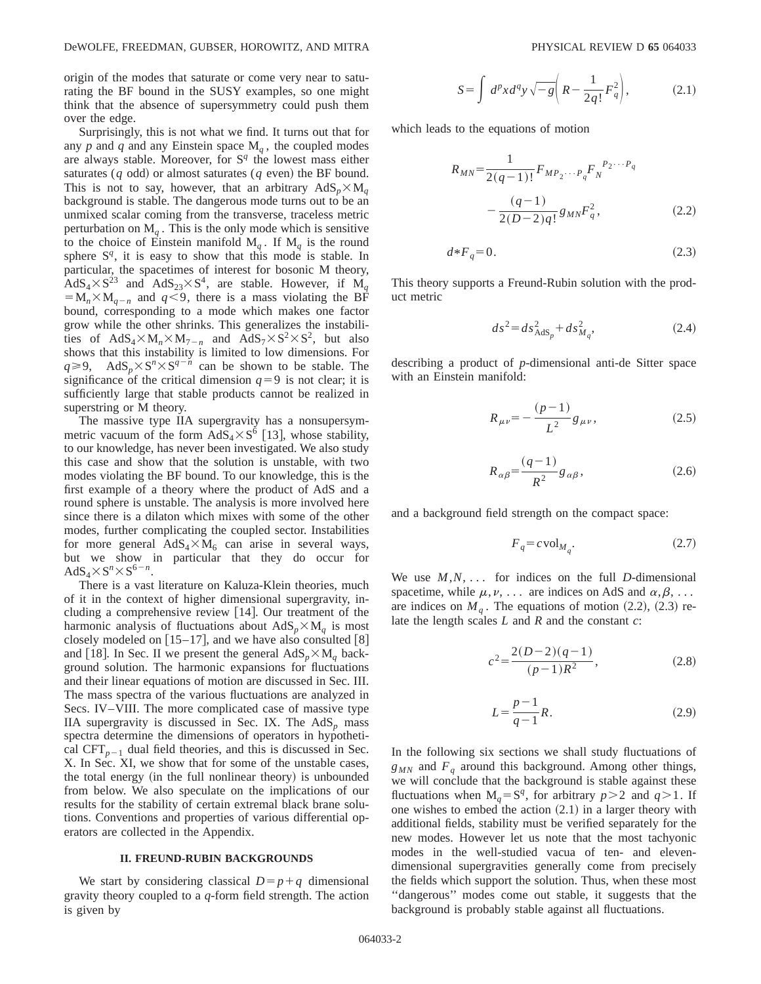origin of the modes that saturate or come very near to saturating the BF bound in the SUSY examples, so one might think that the absence of supersymmetry could push them over the edge.

Surprisingly, this is not what we find. It turns out that for any  $p$  and  $q$  and any Einstein space  $M_q$ , the coupled modes are always stable. Moreover, for  $S<sup>q</sup>$  the lowest mass either saturates  $(q \text{ odd})$  or almost saturates  $(q \text{ even})$  the BF bound. This is not to say, however, that an arbitrary  $AdS_p \times M_q$ background is stable. The dangerous mode turns out to be an unmixed scalar coming from the transverse, traceless metric perturbation on  $M_q$ . This is the only mode which is sensitive to the choice of Einstein manifold  $M_q$ . If  $M_q$  is the round sphere  $S^q$ , it is easy to show that this mode is stable. In particular, the spacetimes of interest for bosonic M theory,  $AdS_4 \times S^{23}$  and  $AdS_{23} \times S^4$ , are stable. However, if M<sub>*q*</sub>  $= M_n \times M_{q-n}$  and  $q \leq 9$ , there is a mass violating the BF bound, corresponding to a mode which makes one factor grow while the other shrinks. This generalizes the instabilities of  $AdS_4 \times M_n \times M_{7-n}$  and  $AdS_7 \times S^2 \times S^2$ , but also shows that this instability is limited to low dimensions. For  $q \ge 9$ , AdS<sub>p</sub> $\times$ S<sup>n</sup> $\times$ S<sup>q-n'</sup> can be shown to be stable. The significance of the critical dimension  $q=9$  is not clear; it is sufficiently large that stable products cannot be realized in superstring or M theory.

The massive type IIA supergravity has a nonsupersymmetric vacuum of the form  $AdS_4 \times S^6$  [13], whose stability, to our knowledge, has never been investigated. We also study this case and show that the solution is unstable, with two modes violating the BF bound. To our knowledge, this is the first example of a theory where the product of AdS and a round sphere is unstable. The analysis is more involved here since there is a dilaton which mixes with some of the other modes, further complicating the coupled sector. Instabilities for more general  $AdS_4 \times M_6$  can arise in several ways, but we show in particular that they do occur for  $AdS_4 \times S^n \times S^{6-n}$ .

There is a vast literature on Kaluza-Klein theories, much of it in the context of higher dimensional supergravity, including a comprehensive review  $[14]$ . Our treatment of the harmonic analysis of fluctuations about  $AdS_p \times M_q$  is most closely modeled on  $[15–17]$ , and we have also consulted  $[8]$ and [18]. In Sec. II we present the general  $AdS_p \times M_q$  background solution. The harmonic expansions for fluctuations and their linear equations of motion are discussed in Sec. III. The mass spectra of the various fluctuations are analyzed in Secs. IV–VIII. The more complicated case of massive type IIA supergravity is discussed in Sec. IX. The  $AdS_p$  mass spectra determine the dimensions of operators in hypothetical  $CFT_{p-1}$  dual field theories, and this is discussed in Sec. X. In Sec. XI, we show that for some of the unstable cases, the total energy (in the full nonlinear theory) is unbounded from below. We also speculate on the implications of our results for the stability of certain extremal black brane solutions. Conventions and properties of various differential operators are collected in the Appendix.

### **II. FREUND-RUBIN BACKGROUNDS**

We start by considering classical  $D=p+q$  dimensional gravity theory coupled to a *q*-form field strength. The action is given by

$$
S = \int d^p x d^q y \sqrt{-g} \left( R - \frac{1}{2q!} F_q^2 \right), \tag{2.1}
$$

which leads to the equations of motion

$$
R_{MN} = \frac{1}{2(q-1)!} F_{MP_2\cdots P_q} F_N^{P_2\cdots P_q}
$$

$$
- \frac{(q-1)}{2(D-2)q!} g_{MN} F_q^2, \qquad (2.2)
$$

$$
d*F_q = 0.\t\t(2.3)
$$

This theory supports a Freund-Rubin solution with the product metric

$$
ds^2 = ds^2_{\text{AdS}_p} + ds^2_{M_q},\tag{2.4}
$$

describing a product of *p*-dimensional anti-de Sitter space with an Einstein manifold:

$$
R_{\mu\nu} = -\frac{(p-1)}{L^2}g_{\mu\nu},\tag{2.5}
$$

$$
R_{\alpha\beta} = \frac{(q-1)}{R^2} g_{\alpha\beta},\tag{2.6}
$$

and a background field strength on the compact space:

$$
F_q = c \text{vol}_{M_q}.\tag{2.7}
$$

We use  $M, N, \ldots$  for indices on the full *D*-dimensional spacetime, while  $\mu, \nu, \ldots$  are indices on AdS and  $\alpha, \beta, \ldots$ are indices on  $M<sub>q</sub>$ . The equations of motion (2.2), (2.3) relate the length scales *L* and *R* and the constant *c*:

$$
c^2 = \frac{2(D-2)(q-1)}{(p-1)R^2},
$$
\n(2.8)

$$
L = \frac{p-1}{q-1}R.\tag{2.9}
$$

In the following six sections we shall study fluctuations of  $g_{MN}$  and  $F_q$  around this background. Among other things, we will conclude that the background is stable against these fluctuations when  $M_q = S^q$ , for arbitrary  $p > 2$  and  $q > 1$ . If one wishes to embed the action  $(2.1)$  in a larger theory with additional fields, stability must be verified separately for the new modes. However let us note that the most tachyonic modes in the well-studied vacua of ten- and elevendimensional supergravities generally come from precisely the fields which support the solution. Thus, when these most ''dangerous'' modes come out stable, it suggests that the background is probably stable against all fluctuations.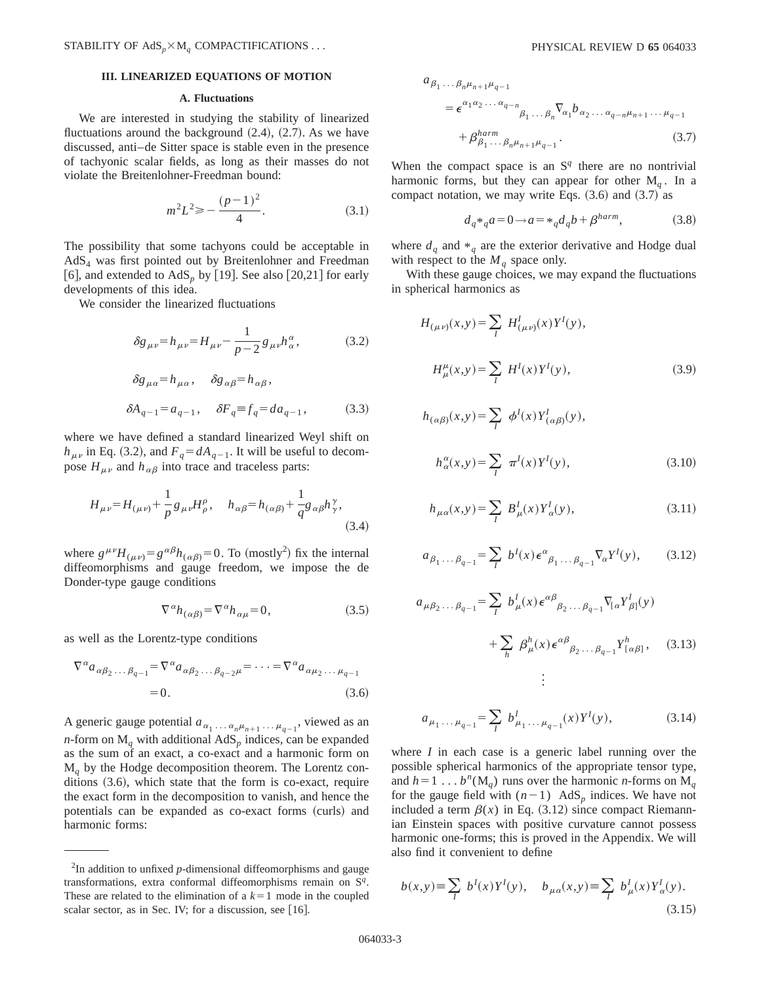### **III. LINEARIZED EQUATIONS OF MOTION**

### **A. Fluctuations**

We are interested in studying the stability of linearized fluctuations around the background  $(2.4)$ ,  $(2.7)$ . As we have discussed, anti–de Sitter space is stable even in the presence of tachyonic scalar fields, as long as their masses do not violate the Breitenlohner-Freedman bound:

$$
m^2 L^2 \geqslant -\frac{(p-1)^2}{4}.\tag{3.1}
$$

The possibility that some tachyons could be acceptable in AdS4 was first pointed out by Breitenlohner and Freedman [6], and extended to  $AdS_p$  by [19]. See also [20,21] for early developments of this idea.

We consider the linearized fluctuations

$$
\delta g_{\mu\nu} = h_{\mu\nu} = H_{\mu\nu} - \frac{1}{p-2} g_{\mu\nu} h^{\alpha}_{\alpha},
$$
 (3.2)

$$
\delta g_{\mu\alpha} = h_{\mu\alpha}, \quad \delta g_{\alpha\beta} = h_{\alpha\beta},
$$
  

$$
\delta A_{q-1} = a_{q-1}, \quad \delta F_q \equiv f_q = da_{q-1}, \quad (3.3)
$$

where we have defined a standard linearized Weyl shift on  $h_{\mu\nu}$  in Eq. (3.2), and  $F_q = dA_{q-1}$ . It will be useful to decompose  $H_{\mu\nu}$  and  $h_{\alpha\beta}$  into trace and traceless parts:

$$
H_{\mu\nu} = H_{(\mu\nu)} + \frac{1}{p} g_{\mu\nu} H^{\rho}_{\rho}, \quad h_{\alpha\beta} = h_{(\alpha\beta)} + \frac{1}{q} g_{\alpha\beta} h^{\gamma}_{\gamma},
$$
\n(3.4)

where  $g^{\mu\nu}H_{(\mu\nu)} = g^{\alpha\beta}h_{(\alpha\beta)} = 0$ . To (mostly<sup>2</sup>) fix the internal diffeomorphisms and gauge freedom, we impose the de Donder-type gauge conditions

$$
\nabla^{\alpha} h_{(\alpha\beta)} = \nabla^{\alpha} h_{\alpha\mu} = 0, \qquad (3.5)
$$

as well as the Lorentz-type conditions

$$
\nabla^{\alpha} a_{\alpha\beta_2 \dots \beta_{q-1}} = \nabla^{\alpha} a_{\alpha\beta_2 \dots \beta_{q-2} \mu} = \dots = \nabla^{\alpha} a_{\alpha\mu_2 \dots \mu_{q-1}}
$$
  
= 0. (3.6)

A generic gauge potential  $a_{\alpha_1 \ldots \alpha_n \mu_{n+1} \ldots \mu_{q-1}}$ , viewed as an *n*-form on  $M_q$  with additional  $AdS_p$  indices, can be expanded as the sum of an exact, a co-exact and a harmonic form on M*<sup>q</sup>* by the Hodge decomposition theorem. The Lorentz conditions  $(3.6)$ , which state that the form is co-exact, require the exact form in the decomposition to vanish, and hence the potentials can be expanded as co-exact forms (curls) and harmonic forms:

$$
a_{\beta_1 \dots \beta_n \mu_{n+1} \mu_{q-1}}
$$
  
=  $\epsilon^{\alpha_1 \alpha_2 \dots \alpha_{q-n}} \beta_1 \dots \beta_n \nabla_{\alpha_1} b_{\alpha_2 \dots \alpha_{q-n} \mu_{n+1} \dots \mu_{q-1}}$   
+  $\beta_{\beta_1 \dots \beta_n \mu_{n+1} \mu_{q-1}}$ . (3.7)

When the compact space is an  $S<sup>q</sup>$  there are no nontrivial harmonic forms, but they can appear for other  $M_a$ . In a compact notation, we may write Eqs.  $(3.6)$  and  $(3.7)$  as

$$
d_q *_{q} a = 0 \longrightarrow a = *_{q} d_q b + \beta^{harm}, \qquad (3.8)
$$

where  $d_q$  and  $*_q$  are the exterior derivative and Hodge dual with respect to the  $M<sub>a</sub>$  space only.

With these gauge choices, we may expand the fluctuations in spherical harmonics as

$$
H_{(\mu\nu)}(x,y) = \sum_{I} H_{(\mu\nu)}^{I}(x) Y^{I}(y),
$$
  

$$
H_{\mu}^{\mu}(x,y) = \sum_{I} H^{I}(x) Y^{I}(y),
$$
 (3.9)

$$
h_{(\alpha\beta)}(x,y) = \sum_{I} \phi^{I}(x) Y^{I}_{(\alpha\beta)}(y),
$$
  

$$
h_{\alpha}^{\alpha}(x,y) = \sum_{I} \pi^{I}(x) Y^{I}(y),
$$
 (3.10)

$$
h_{\mu\alpha}(x,y) = \sum_{I} B_{\mu}^{I}(x) Y_{\alpha}^{I}(y),
$$
\n(3.11)

$$
a_{\beta_1 \dots \beta_{q-1}} = \sum_l b^l(x) \epsilon^{\alpha}{}_{\beta_1 \dots \beta_{q-1}} \nabla_{\alpha} Y^l(y), \qquad (3.12)
$$

$$
a_{\mu\beta_2\ldots\beta_{q-1}} = \sum_{I} b_{\mu}^{I}(x) \epsilon^{\alpha\beta}{}_{\beta_2\ldots\beta_{q-1}} \nabla_{[\alpha} Y^{I}_{\beta]}(y)
$$

$$
+ \sum_{h} \beta_{\mu}^{h}(x) \epsilon^{\alpha\beta}{}_{\beta_2\ldots\beta_{q-1}} Y^{h}_{[\alpha\beta]}, \quad (3.13)
$$

$$
\vdots
$$

$$
a_{\mu_1 \dots \mu_{q-1}} = \sum_{I} b^I_{\mu_1 \dots \mu_{q-1}}(x) Y^I(y), \tag{3.14}
$$

where *I* in each case is a generic label running over the possible spherical harmonics of the appropriate tensor type, and  $h=1...$  *b*<sup>*n*</sup>(M<sub>*a*</sub>) runs over the harmonic *n*-forms on M<sub>*q*</sub> for the gauge field with  $(n-1)$  AdS<sub>p</sub> indices. We have not included a term  $\beta(x)$  in Eq.  $(3.12)$  since compact Riemannian Einstein spaces with positive curvature cannot possess harmonic one-forms; this is proved in the Appendix. We will also find it convenient to define

$$
b(x,y) \equiv \sum_{I} b^{I}(x)Y^{I}(y), \quad b_{\mu\alpha}(x,y) \equiv \sum_{I} b^{I}_{\mu}(x)Y^{I}_{\alpha}(y).
$$
\n(3.15)

<sup>2</sup> In addition to unfixed *p*-dimensional diffeomorphisms and gauge transformations, extra conformal diffeomorphisms remain on S*<sup>q</sup>*. These are related to the elimination of a  $k=1$  mode in the coupled scalar sector, as in Sec. IV; for a discussion, see  $[16]$ .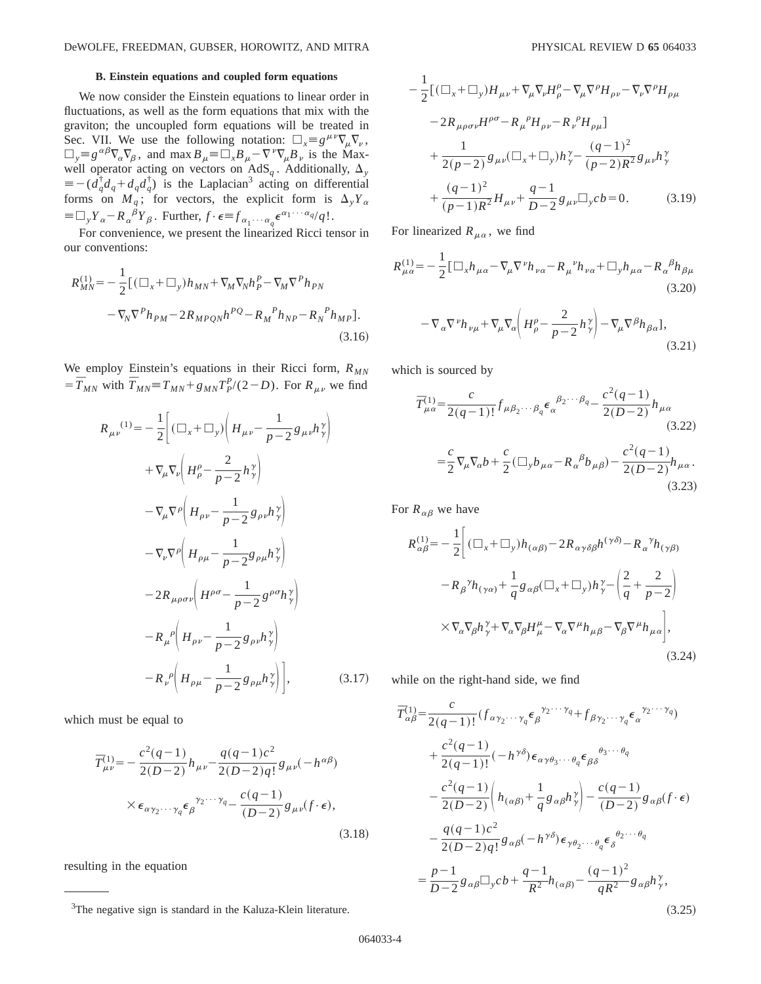### **B. Einstein equations and coupled form equations**

We now consider the Einstein equations to linear order in fluctuations, as well as the form equations that mix with the graviton; the uncoupled form equations will be treated in Sec. VII. We use the following notation:  $\Box_x \equiv g^{\mu\nu} \nabla_{\mu} \nabla_{\nu}$ ,  $\Box_y = g^{\alpha\beta}\nabla_\alpha\nabla_\beta$ , and max  $B_\mu = \Box_x B_\mu - \nabla^\nu\nabla_\mu B_\nu$  is the Maxwell operator acting on vectors on  $AdS_q$ . Additionally,  $\Delta_y$  $\equiv -(\overline{d}_q^{\dagger}d_q + d_qd_q^{\dagger})$  is the Laplacian<sup>3</sup> acting on differential forms on  $M_q$ ; for vectors, the explicit form is  $\Delta_y Y_\alpha$  $\equiv \Box_y Y_\alpha - R_\alpha^{\ \beta} Y_\beta$ . Further,  $f \cdot \epsilon \equiv f_{\alpha_1 \cdots \alpha_q} \epsilon^{\alpha_1 \cdots \alpha_q} / q!$ .

For convenience, we present the linearized Ricci tensor in our conventions:

$$
R_{MN}^{(1)} = -\frac{1}{2} [ (\Box_x + \Box_y) h_{MN} + \nabla_M \nabla_N h_P^P - \nabla_M \nabla^P h_{PN} - \nabla_N \nabla^P h_{PM} - 2R_{MPQN} h^{PQ} - R_M^P h_{NP} - R_N^P h_{MP} ].
$$
\n(3.16)

We employ Einstein's equations in their Ricci form,  $R_{MN}$  $=\overline{T}_{MN}$  with  $\overline{T}_{MN} = T_{MN} + g_{MN}T_{p}^{p}/(2-D)$ . For  $R_{\mu\nu}$  we find

$$
R_{\mu\nu}^{(1)} = -\frac{1}{2} \Bigg[ (\Box_x + \Box_y) \Bigg( H_{\mu\nu} - \frac{1}{p-2} g_{\mu\nu} h_y^{\gamma} \Bigg)
$$
  
+  $\nabla_{\mu} \nabla_{\nu} \Bigg( H_{\rho}^{\rho} - \frac{2}{p-2} h_y^{\gamma} \Bigg)$   
-  $\nabla_{\mu} \nabla^{\rho} \Bigg( H_{\rho\nu} - \frac{1}{p-2} g_{\rho\nu} h_y^{\gamma} \Bigg)$   
-  $\nabla_{\nu} \nabla^{\rho} \Bigg( H_{\rho\mu} - \frac{1}{p-2} g_{\rho\mu} h_y^{\gamma} \Bigg)$   
-  $2 R_{\mu\rho\sigma\nu} \Bigg( H^{\rho\sigma} - \frac{1}{p-2} g^{\rho\sigma} h_y^{\gamma} \Bigg)$   
-  $R_{\mu}^{\rho} \Bigg( H_{\rho\nu} - \frac{1}{p-2} g_{\rho\nu} h_y^{\gamma} \Bigg)$   
-  $R_{\nu}^{\rho} \Bigg( H_{\rho\mu} - \frac{1}{p-2} g_{\rho\mu} h_y^{\gamma} \Bigg)$ , (3.17)

which must be equal to

$$
\overline{T}_{\mu\nu}^{(1)} = -\frac{c^2(q-1)}{2(D-2)} h_{\mu\nu} - \frac{q(q-1)c^2}{2(D-2)q!} g_{\mu\nu}(-h^{\alpha\beta})
$$
\n
$$
\times \epsilon_{\alpha\gamma_2\cdots\gamma_q} \epsilon_{\beta}^{\gamma_2\cdots\gamma_q} - \frac{c(q-1)}{(D-2)} g_{\mu\nu}(f \cdot \epsilon),
$$
\n(3.18)

resulting in the equation

$$
-\frac{1}{2} [(\Box_x + \Box_y) H_{\mu\nu} + \nabla_\mu \nabla_\nu H^\rho_\rho - \nabla_\mu \nabla^\rho H_{\rho\nu} - \nabla_\nu \nabla^\rho H_{\rho\mu} \n- 2R_{\mu\rho\sigma\nu} H^{\rho\sigma} - R_\mu^{\ \rho} H_{\rho\nu} - R_\nu^{\ \rho} H_{\rho\mu}] \n+ \frac{1}{2(\rho - 2)} g_{\mu\nu} (\Box_x + \Box_y) h^\gamma_\gamma - \frac{(q - 1)^2}{(\rho - 2)R^2} g_{\mu\nu} h^\gamma_\gamma \n+ \frac{(q - 1)^2}{(\rho - 1)R^2} H_{\mu\nu} + \frac{q - 1}{D - 2} g_{\mu\nu} \Box_y cb = 0.
$$
\n(3.19)

For linearized  $R_{\mu\alpha}$ , we find

$$
R^{(1)}_{\mu\alpha} = -\frac{1}{2} \left[ \Box_x h_{\mu\alpha} - \nabla_\mu \nabla^\nu h_{\nu\alpha} - R_\mu^{\ \nu} h_{\nu\alpha} + \Box_y h_{\mu\alpha} - R_\alpha^{\ \beta} h_{\beta\mu} \right]
$$
\n
$$
(3.20)
$$
\n
$$
- \nabla_\alpha \nabla^\nu h_{\nu\mu} + \nabla_\mu \nabla_\alpha \left( H^\rho_\rho - \frac{2}{p-2} h^\gamma_\gamma \right) - \nabla_\mu \nabla^\beta h_{\beta\alpha} \, .
$$
\n
$$
(3.21)
$$

which is sourced by

$$
\overline{T}^{(1)}_{\mu\alpha} = \frac{c}{2(q-1)!} f_{\mu\beta_2\cdots\beta_q} \epsilon_{\alpha}^{\beta_2\cdots\beta_q} - \frac{c^2(q-1)}{2(D-2)} h_{\mu\alpha}
$$
\n(3.22)\n
$$
= \frac{c}{2} \nabla_{\mu} \nabla_{\alpha} b + \frac{c}{2} (\Box_y b_{\mu\alpha} - R_{\alpha}^{\beta} b_{\mu\beta}) - \frac{c^2(q-1)}{2(D-2)} h_{\mu\alpha}.
$$
\n(3.23)

For  $R_{\alpha\beta}$  we have

$$
R_{\alpha\beta}^{(1)} = -\frac{1}{2} \Bigg[ (\Box_x + \Box_y) h_{(\alpha\beta)} - 2R_{\alpha\gamma\delta\beta} h^{(\gamma\delta)} - R_{\alpha}{}^{\gamma} h_{(\gamma\beta)} - R_{\beta}{}^{\gamma} h_{(\gamma\alpha)} + \frac{1}{q} g_{\alpha\beta} (\Box_x + \Box_y) h_{\gamma}{}^{\gamma} - \left( \frac{2}{q} + \frac{2}{p-2} \right) \times \nabla_{\alpha} \nabla_{\beta} h_{\gamma}{}^{\gamma} + \nabla_{\alpha} \nabla_{\beta} H_{\mu}{}^{\mu} - \nabla_{\alpha} \nabla^{\mu} h_{\mu\beta} - \nabla_{\beta} \nabla^{\mu} h_{\mu\alpha} \Bigg],
$$
\n(3.24)

while on the right-hand side, we find

$$
\overline{T}_{\alpha\beta}^{(1)} = \frac{c}{2(q-1)!} (f_{\alpha\gamma_2\cdots\gamma_q} \epsilon_{\beta}^{\gamma_2\cdots\gamma_q} + f_{\beta\gamma_2\cdots\gamma_q} \epsilon_{\alpha}^{\gamma_2\cdots\gamma_q})
$$
\n
$$
+ \frac{c^2(q-1)}{2(q-1)!} (-h^{\gamma\delta}) \epsilon_{\alpha\gamma\theta_3\cdots\theta_q} \epsilon_{\beta\delta}^{\theta_3\cdots\theta_q}
$$
\n
$$
- \frac{c^2(q-1)}{2(D-2)} \left( h_{(\alpha\beta)} + \frac{1}{q} g_{\alpha\beta} h_{\gamma}^{\gamma} \right) - \frac{c(q-1)}{(D-2)} g_{\alpha\beta} (f \cdot \epsilon)
$$
\n
$$
- \frac{q(q-1)c^2}{2(D-2)q!} g_{\alpha\beta} (-h^{\gamma\delta}) \epsilon_{\gamma\theta_2\cdots\theta_q} \epsilon_{\delta}^{\theta_2\cdots\theta_q}
$$
\n
$$
= \frac{p-1}{D-2} g_{\alpha\beta} \Box_y cb + \frac{q-1}{R^2} h_{(\alpha\beta)} - \frac{(q-1)^2}{qR^2} g_{\alpha\beta} h_{\gamma}^{\gamma},
$$
\n(2.3.7)

<sup>&</sup>lt;sup>3</sup>The negative sign is standard in the Kaluza-Klein literature.  $(3.25)$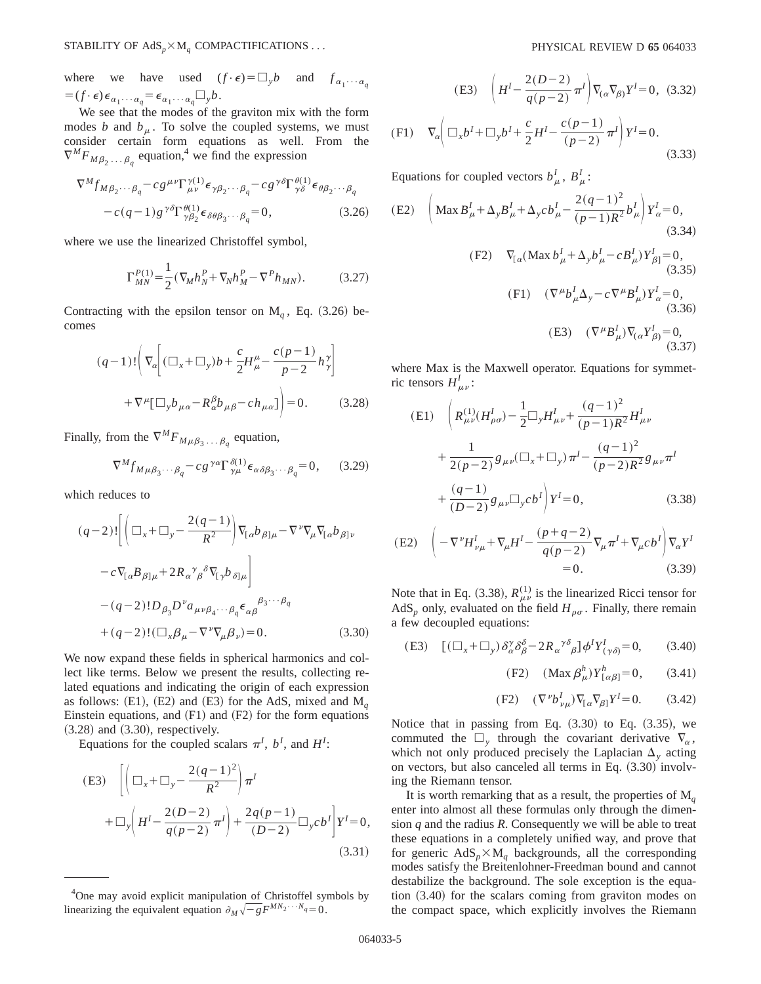where we have used  $(f \cdot \epsilon) = \Box_y b$  and  $f_{\alpha_1 \cdots \alpha_n}$  $=(f \cdot \epsilon) \epsilon_{\alpha_1 \cdots \alpha_q} = \epsilon_{\alpha_1 \cdots \alpha_q} \Box_y b.$ 

We see that the modes of the graviton mix with the form modes *b* and  $b<sub>\mu</sub>$ . To solve the coupled systems, we must consider certain form equations as well. From the  $\nabla^M F_{M\beta_2 \ldots \beta_q}$  equation,<sup>4</sup> we find the expression

$$
\nabla^{M} f_{M\beta_{2}\cdots\beta_{q}} - c g^{\mu\nu} \Gamma^{\gamma(1)}_{\mu\nu} \epsilon_{\gamma\beta_{2}\cdots\beta_{q}} - c g^{\gamma\delta} \Gamma^{\theta(1)}_{\gamma\delta} \epsilon_{\theta\beta_{2}\cdots\beta_{q}} -c (q-1) g^{\gamma\delta} \Gamma^{\theta(1)}_{\gamma\beta_{2}} \epsilon_{\delta\theta\beta_{3}\cdots\beta_{q}} = 0, \qquad (3.26)
$$

where we use the linearized Christoffel symbol,

$$
\Gamma_{MN}^{P(1)} = \frac{1}{2} (\nabla_M h_N^P + \nabla_N h_M^P - \nabla^P h_{MN}).
$$
 (3.27)

Contracting with the epsilon tensor on  $M_q$ , Eq.  $(3.26)$  becomes

$$
(q-1)!\left(\nabla_{\alpha}\left[(\Box_{x} + \Box_{y})b + \frac{c}{2}H^{\mu}_{\mu} - \frac{c(p-1)}{p-2}h^{\gamma}_{\gamma}\right] + \nabla^{\mu}[\Box_{y}b_{\mu\alpha} - R^{\beta}_{\alpha}b_{\mu\beta} - ch_{\mu\alpha}]\right) = 0.
$$
 (3.28)

Finally, from the  $\nabla^M F_{M\mu\beta_3 \ldots \beta_q}$  equation,

$$
\nabla^M f_{M\mu\beta_3\cdots\beta_q} - c g^{\gamma\alpha} \Gamma^{\delta(1)}_{\gamma\mu} \epsilon_{\alpha\delta\beta_3\cdots\beta_q} = 0, \qquad (3.29)
$$

which reduces to

$$
(q-2)!\left[\left(\Box_x + \Box_y - \frac{2(q-1)}{R^2}\right)\nabla_{[\alpha}b_{\beta]\mu} - \nabla^{\nu}\nabla_{\mu}\nabla_{[\alpha}b_{\beta]\nu}\n\right] \n- c\nabla_{[\alpha}B_{\beta]\mu} + 2R_{\alpha}^{\gamma}{}_{\beta}^{\delta}\nabla_{[\gamma}b_{\delta]\mu}\n\right] \n- (q-2)!D_{\beta_3}D^{\nu}a_{\mu\nu\beta_4\cdots\beta_q}\n\epsilon_{\alpha\beta}^{\beta_3\cdots\beta_q} \n+ (q-2)!(\Box_x\beta_{\mu} - \nabla^{\nu}\nabla_{\mu}\beta_{\nu}) = 0.
$$
\n(3.30)

We now expand these fields in spherical harmonics and collect like terms. Below we present the results, collecting related equations and indicating the origin of each expression as follows:  $(E1)$ ,  $(E2)$  and  $(E3)$  for the AdS, mixed and M<sub>*q*</sub> Einstein equations, and  $(F1)$  and  $(F2)$  for the form equations  $(3.28)$  and  $(3.30)$ , respectively.

Equations for the coupled scalars  $\pi^I$ ,  $b^I$ , and  $H^I$ :

(E3) 
$$
\left[ \left( \Box_x + \Box_y - \frac{2(q-1)^2}{R^2} \right) \pi^I \right] + \Box_y \left( H^I - \frac{2(D-2)}{q(p-2)} \pi^I \right) + \frac{2q(p-1)}{(D-2)} \Box_y cb^I \right] Y^I = 0,
$$
\n(3.31)

(E3) 
$$
\left(H^I - \frac{2(D-2)}{q(p-2)}\pi^I\right)\nabla_{(\alpha}\nabla_{\beta)}Y^I = 0
$$
, (3.32)

(F1) 
$$
\nabla_{\alpha} \left( \Box_{x} b^{I} + \Box_{y} b^{I} + \frac{c}{2} H^{I} - \frac{c(p-1)}{(p-2)} \pi^{I} \right) Y^{I} = 0.
$$
 (3.33)

Equations for coupled vectors  $b^I_\mu$ ,  $B^I_\mu$ :

(E2) 
$$
\left( \text{Max } B_{\mu}^{I} + \Delta_{y} B_{\mu}^{I} + \Delta_{y} cb_{\mu}^{I} - \frac{2(q-1)^{2}}{(p-1)R^{2}} b_{\mu}^{I} \right) Y_{\alpha}^{I} = 0,
$$
  
(3.34)  
(F2)  $\nabla_{[\alpha} (\text{Max } b_{\mu}^{I} + \Delta_{y} b_{\mu}^{I} - cB_{\mu}^{I}) Y_{\beta]}^{I} = 0,$  (3.35)

(F1) 
$$
(\nabla^{\mu} b_{\mu}^{I} \Delta_{y} - c \nabla^{\mu} B_{\mu}^{I}) Y_{\alpha}^{I} = 0,
$$
  
\n(3.36)  
\n(E3)  $(\nabla^{\mu} B_{\mu}^{I}) \nabla_{(\alpha} Y_{\beta}^{I}) = 0,$   
\n(3.37)

where Max is the Maxwell operator. Equations for symmetric tensors  $H_{\mu\nu}^I$ :

(E1) 
$$
\left(R_{\mu\nu}^{(1)}(H_{\rho\sigma}^{I}) - \frac{1}{2}\Box_{y}H_{\mu\nu}^{I} + \frac{(q-1)^{2}}{(p-1)R^{2}}H_{\mu\nu}^{I} + \frac{1}{2(p-2)}g_{\mu\nu}(\Box_{x} + \Box_{y})\pi^{I} - \frac{(q-1)^{2}}{(p-2)R^{2}}g_{\mu\nu}\pi^{I} + \frac{(q-1)}{(D-2)}g_{\mu\nu}\Box_{y}cb^{I}\right)Y^{I} = 0,
$$
\n(3.38)

$$
\begin{aligned} \text{(E2)} \quad & \bigg( -\nabla^{\nu} H_{\nu\mu}^{I} + \nabla_{\mu} H^{I} - \frac{(p+q-2)}{q(p-2)} \nabla_{\mu} \pi^{I} + \nabla_{\mu} c \, b^{I} \bigg) \nabla_{\alpha} Y^{I} \\ &= 0. \end{aligned} \tag{3.39}
$$

Note that in Eq. (3.38),  $R_{\mu\nu}^{(1)}$  is the linearized Ricci tensor for AdS<sub>p</sub> only, evaluated on the field  $H_{\rho\sigma}$ . Finally, there remain a few decoupled equations:

(E3) 
$$
[(\Box_x + \Box_y) \, \delta^{\gamma}_\alpha \delta^{\delta}_\beta - 2R_\alpha^{\gamma \delta} \, \delta] \phi^I Y^I_{(\gamma \delta)} = 0, \qquad (3.40)
$$

(F2) 
$$
(\text{Max } \beta^h_\mu) Y^h_{[\alpha\beta]} = 0,
$$
 (3.41)

$$
(F2) \quad (\nabla^{\nu} b_{\nu\mu}^I) \nabla_{[\alpha} \nabla_{\beta]} Y^I = 0. \quad (3.42)
$$

Notice that in passing from Eq.  $(3.30)$  to Eq.  $(3.35)$ , we commuted the  $\Box$  through the covariant derivative  $\nabla_{\alpha}$ , which not only produced precisely the Laplacian  $\Delta$ <sub>y</sub> acting on vectors, but also canceled all terms in Eq.  $(3.30)$  involving the Riemann tensor.

It is worth remarking that as a result, the properties of  $M_a$ enter into almost all these formulas only through the dimension *q* and the radius *R*. Consequently we will be able to treat these equations in a completely unified way, and prove that for generic  $AdS_p \times M_q$  backgrounds, all the corresponding modes satisfy the Breitenlohner-Freedman bound and cannot destabilize the background. The sole exception is the equation  $(3.40)$  for the scalars coming from graviton modes on the compact space, which explicitly involves the Riemann

<sup>&</sup>lt;sup>4</sup>One may avoid explicit manipulation of Christoffel symbols by linearizing the equivalent equation  $\partial_M \sqrt{-g} F^{MN_2 \cdots N_q} = 0$ .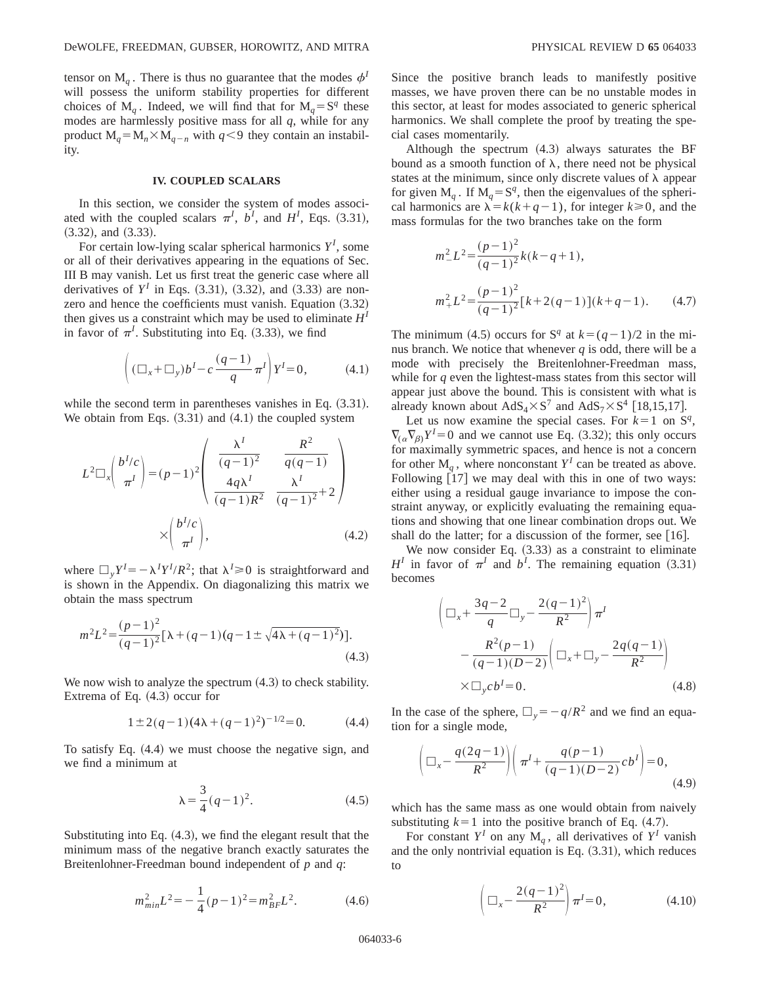tensor on  $M_q$ . There is thus no guarantee that the modes  $\phi^I$ will possess the uniform stability properties for different choices of  $M_a$ . Indeed, we will find that for  $M_a = S^q$  these modes are harmlessly positive mass for all *q*, while for any product  $M_q = M_n \times M_{q-n}$  with  $q \leq 9$  they contain an instability.

#### **IV. COUPLED SCALARS**

In this section, we consider the system of modes associated with the coupled scalars  $\pi^I$ ,  $b^I$ , and  $H^I$ , Eqs. (3.31),  $(3.32)$ , and  $(3.33)$ .

For certain low-lying scalar spherical harmonics *Y<sup>I</sup>* , some or all of their derivatives appearing in the equations of Sec. III B may vanish. Let us first treat the generic case where all derivatives of  $Y^I$  in Eqs.  $(3.31)$ ,  $(3.32)$ , and  $(3.33)$  are nonzero and hence the coefficients must vanish. Equation  $(3.32)$ then gives us a constraint which may be used to eliminate  $H<sup>I</sup>$ in favor of  $\pi^I$ . Substituting into Eq. (3.33), we find

$$
\left( (\Box_x + \Box_y) b^I - c \frac{(q-1)}{q} \pi^I \right) Y^I = 0, \tag{4.1}
$$

while the second term in parentheses vanishes in Eq.  $(3.31)$ . We obtain from Eqs.  $(3.31)$  and  $(4.1)$  the coupled system

$$
L^{2}\Box_{x}\left(\frac{b^{1}/c}{\pi^{l}}\right) = (p-1)^{2}\left(\begin{array}{cc} \frac{\lambda^{l}}{(q-1)^{2}} & \frac{R^{2}}{q(q-1)}\\ \frac{4q\lambda^{l}}{(q-1)R^{2}} & \frac{\lambda^{l}}{(q-1)^{2}}+2 \end{array}\right)
$$

$$
\times \left(\frac{b^{l}/c}{\pi^{l}}\right), \tag{4.2}
$$

where  $\Box_y Y^I = -\lambda^I Y^I / R^2$ ; that  $\lambda^I \ge 0$  is straightforward and is shown in the Appendix. On diagonalizing this matrix we obtain the mass spectrum

$$
m^{2}L^{2} = \frac{(p-1)^{2}}{(q-1)^{2}}[\lambda + (q-1)(q-1 \pm \sqrt{4\lambda + (q-1)^{2}})].
$$
\n(4.3)

We now wish to analyze the spectrum  $(4.3)$  to check stability. Extrema of Eq.  $(4.3)$  occur for

$$
1 \pm 2(q-1)(4\lambda + (q-1)^2)^{-1/2} = 0.
$$
 (4.4)

To satisfy Eq.  $(4.4)$  we must choose the negative sign, and we find a minimum at

$$
\lambda = \frac{3}{4}(q-1)^2.
$$
 (4.5)

Substituting into Eq.  $(4.3)$ , we find the elegant result that the minimum mass of the negative branch exactly saturates the Breitenlohner-Freedman bound independent of *p* and *q*:

$$
m_{min}^2 L^2 = -\frac{1}{4}(p-1)^2 = m_{BF}^2 L^2.
$$
 (4.6)

Since the positive branch leads to manifestly positive masses, we have proven there can be no unstable modes in this sector, at least for modes associated to generic spherical harmonics. We shall complete the proof by treating the special cases momentarily.

Although the spectrum  $(4.3)$  always saturates the BF bound as a smooth function of  $\lambda$ , there need not be physical states at the minimum, since only discrete values of  $\lambda$  appear for given  $M_a$ . If  $M_a = S^q$ , then the eigenvalues of the spherical harmonics are  $\lambda = k(k+q-1)$ , for integer  $k \ge 0$ , and the mass formulas for the two branches take on the form

$$
m_-^2 L^2 = \frac{(p-1)^2}{(q-1)^2} k(k-q+1),
$$
  

$$
m_+^2 L^2 = \frac{(p-1)^2}{(q-1)^2} [k+2(q-1)](k+q-1).
$$
 (4.7)

The minimum (4.5) occurs for S<sup>*q*</sup> at  $k=(q-1)/2$  in the minus branch. We notice that whenever *q* is odd, there will be a mode with precisely the Breitenlohner-Freedman mass, while for *q* even the lightest-mass states from this sector will appear just above the bound. This is consistent with what is already known about  $AdS_4 \times S^7$  and  $AdS_7 \times S^4$  [18,15,17].

Let us now examine the special cases. For  $k=1$  on  $S<sup>q</sup>$ ,  $\nabla_{(\alpha} \nabla_{\beta)} Y^I = 0$  and we cannot use Eq. (3.32); this only occurs for maximally symmetric spaces, and hence is not a concern for other  $M_q$ , where nonconstant  $Y^I$  can be treated as above. Following  $[17]$  we may deal with this in one of two ways: either using a residual gauge invariance to impose the constraint anyway, or explicitly evaluating the remaining equations and showing that one linear combination drops out. We shall do the latter; for a discussion of the former, see  $[16]$ .

We now consider Eq.  $(3.33)$  as a constraint to eliminate  $H^I$  in favor of  $\pi^I$  and  $b^I$ . The remaining equation (3.31) becomes

$$
\left(\Box_x + \frac{3q-2}{q}\Box_y - \frac{2(q-1)^2}{R^2}\right)\pi^I
$$
  
 
$$
-\frac{R^2(p-1)}{(q-1)(D-2)}\left(\Box_x + \Box_y - \frac{2q(q-1)}{R^2}\right)
$$
  
 
$$
\times \Box_y cb^I = 0.
$$
 (4.8)

In the case of the sphere,  $\Box_y = -q/R^2$  and we find an equation for a single mode,

$$
\left(\Box_x - \frac{q(2q-1)}{R^2}\right) \left(\pi^I + \frac{q(p-1)}{(q-1)(D-2)}cb^I\right) = 0,
$$
\n(4.9)

which has the same mass as one would obtain from naively substituting  $k=1$  into the positive branch of Eq.  $(4.7)$ .

For constant  $Y^I$  on any  $M_q$ , all derivatives of  $Y^I$  vanish and the only nontrivial equation is Eq.  $(3.31)$ , which reduces to

$$
\left(\Box_x - \frac{2(q-1)^2}{R^2}\right)\pi^I = 0,\tag{4.10}
$$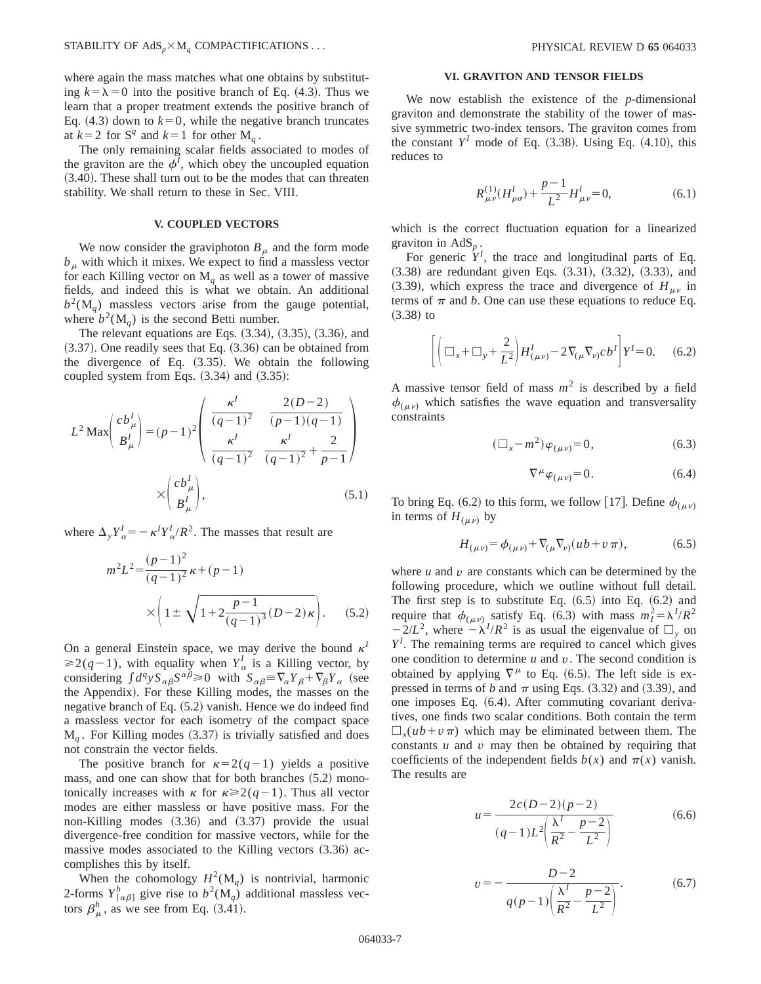where again the mass matches what one obtains by substituting  $k=\lambda=0$  into the positive branch of Eq. (4.3). Thus we learn that a proper treatment extends the positive branch of Eq.  $(4.3)$  down to  $k=0$ , while the negative branch truncates at  $k=2$  for  $S^q$  and  $k=1$  for other  $M_q$ .

The only remaining scalar fields associated to modes of the graviton are the  $\phi^I$ , which obey the uncoupled equation  $(3.40)$ . These shall turn out to be the modes that can threaten stability. We shall return to these in Sec. VIII.

# **V. COUPLED VECTORS**

We now consider the graviphoton  $B_\mu$  and the form mode  $b<sub>\mu</sub>$  with which it mixes. We expect to find a massless vector for each Killing vector on  $M_q$  as well as a tower of massive fields, and indeed this is what we obtain. An additional  $b<sup>2</sup>(M<sub>q</sub>)$  massless vectors arise from the gauge potential, where  $b^2(M_a)$  is the second Betti number.

The relevant equations are Eqs.  $(3.34)$ ,  $(3.35)$ ,  $(3.36)$ , and  $(3.37)$ . One readily sees that Eq.  $(3.36)$  can be obtained from the divergence of Eq.  $(3.35)$ . We obtain the following coupled system from Eqs.  $(3.34)$  and  $(3.35)$ :

$$
L^{2} \operatorname{Max}\left(\frac{cb_{\mu}^{I}}{B_{\mu}^{I}}\right) = (p-1)^{2} \left(\frac{\kappa^{I}}{(q-1)^{2}} - \frac{2(D-2)}{(p-1)(q-1)}\right)
$$

$$
\times \left(\frac{cb_{\mu}^{I}}{B_{\mu}^{I}}\right), \qquad (5.1)
$$

where  $\Delta_y Y^I_\alpha = -\kappa^I Y^I_\alpha / R^2$ . The masses that result are

$$
m^{2}L^{2} = \frac{(p-1)^{2}}{(q-1)^{2}}\kappa + (p-1)
$$

$$
\times \left(1 \pm \sqrt{1 + 2\frac{p-1}{(q-1)^{3}}(D-2)\kappa}\right).
$$
 (5.2)

On a general Einstein space, we may derive the bound  $\kappa^I$  $\geq 2(q-1)$ , with equality when  $Y^I_{\alpha}$  is a Killing vector, by considering  $\int d^q y \, S_{\alpha\beta} S^{\alpha\beta} \ge 0$  with  $S_{\alpha\beta} = \nabla_\alpha Y_\beta + \nabla_\beta Y_\alpha$  (see the Appendix). For these Killing modes, the masses on the negative branch of Eq.  $(5.2)$  vanish. Hence we do indeed find a massless vector for each isometry of the compact space  $M_q$ . For Killing modes (3.37) is trivially satisfied and does not constrain the vector fields.

The positive branch for  $\kappa=2(q-1)$  yields a positive mass, and one can show that for both branches  $(5.2)$  monotonically increases with  $\kappa$  for  $\kappa \ge 2(q-1)$ . Thus all vector modes are either massless or have positive mass. For the non-Killing modes  $(3.36)$  and  $(3.37)$  provide the usual divergence-free condition for massive vectors, while for the massive modes associated to the Killing vectors  $(3.36)$  accomplishes this by itself.

When the cohomology  $H^2(M_q)$  is nontrivial, harmonic 2-forms  $Y^h_{[\alpha\beta]}$  give rise to  $b^2(\mathbf{M}_q)$  additional massless vectors  $\beta_{\mu}^{h}$ , as we see from Eq. (3.41).

### **VI. GRAVITON AND TENSOR FIELDS**

We now establish the existence of the *p*-dimensional graviton and demonstrate the stability of the tower of massive symmetric two-index tensors. The graviton comes from the constant  $Y^I$  mode of Eq.  $(3.38)$ . Using Eq.  $(4.10)$ , this reduces to

$$
R^{(1)}_{\mu\nu}(H^I_{\rho\sigma}) + \frac{p-1}{L^2}H^I_{\mu\nu} = 0,
$$
\n(6.1)

which is the correct fluctuation equation for a linearized graviton in AdS*<sup>p</sup>* .

For generic  $Y^I$ , the trace and longitudinal parts of Eq.  $(3.38)$  are redundant given Eqs.  $(3.31)$ ,  $(3.32)$ ,  $(3.33)$ , and  $(3.39)$ , which express the trace and divergence of  $H_{\mu\nu}$  in terms of  $\pi$  and *b*. One can use these equations to reduce Eq.  $(3.38)$  to

$$
\left[ \left( \Box_x + \Box_y + \frac{2}{L^2} \right) H^I_{(\mu\nu)} - 2 \nabla_{(\mu} \nabla_{\nu)} c b^I \right] Y^I = 0. \quad (6.2)
$$

A massive tensor field of mass  $m^2$  is described by a field  $\phi_{(\mu\nu)}$  which satisfies the wave equation and transversality constraints

$$
(\Box_x - m^2) \varphi_{(\mu \nu)} = 0, \tag{6.3}
$$

$$
\nabla^{\mu} \varphi_{(\mu \nu)} = 0. \tag{6.4}
$$

To bring Eq. (6.2) to this form, we follow [17]. Define  $\phi_{(\mu\nu)}$ in terms of  $H_{(\mu\nu)}$  by

$$
H_{(\mu\nu)} = \phi_{(\mu\nu)} + \nabla_{(\mu}\nabla_{\nu)}(ub + v\,\pi),\tag{6.5}
$$

where *u* and *v* are constants which can be determined by the following procedure, which we outline without full detail. The first step is to substitute Eq.  $(6.5)$  into Eq.  $(6.2)$  and require that  $\phi_{(\mu\nu)}$  satisfy Eq. (6.3) with mass  $m_I^2 = \lambda^I/R^2$  $-2/L^2$ , where  $-\lambda^1/R^2$  is as usual the eigenvalue of  $\Box_y$  on  $Y<sup>I</sup>$ . The remaining terms are required to cancel which gives one condition to determine *u* and *v*. The second condition is obtained by applying  $\nabla^{\mu}$  to Eq. (6.5). The left side is expressed in terms of *b* and  $\pi$  using Eqs. (3.32) and (3.39), and one imposes Eq.  $(6.4)$ . After commuting covariant derivatives, one finds two scalar conditions. Both contain the term  $\Box_x(ub+v\pi)$  which may be eliminated between them. The constants  $u$  and  $v$  may then be obtained by requiring that coefficients of the independent fields  $b(x)$  and  $\pi(x)$  vanish. The results are

$$
u = \frac{2c(D-2)(p-2)}{(q-1)L^2 \left(\frac{\lambda^I}{R^2} - \frac{p-2}{L^2}\right)}
$$
(6.6)

$$
v = -\frac{D-2}{q(p-1)\left(\frac{\lambda^I}{R^2} - \frac{p-2}{L^2}\right)}.
$$
 (6.7)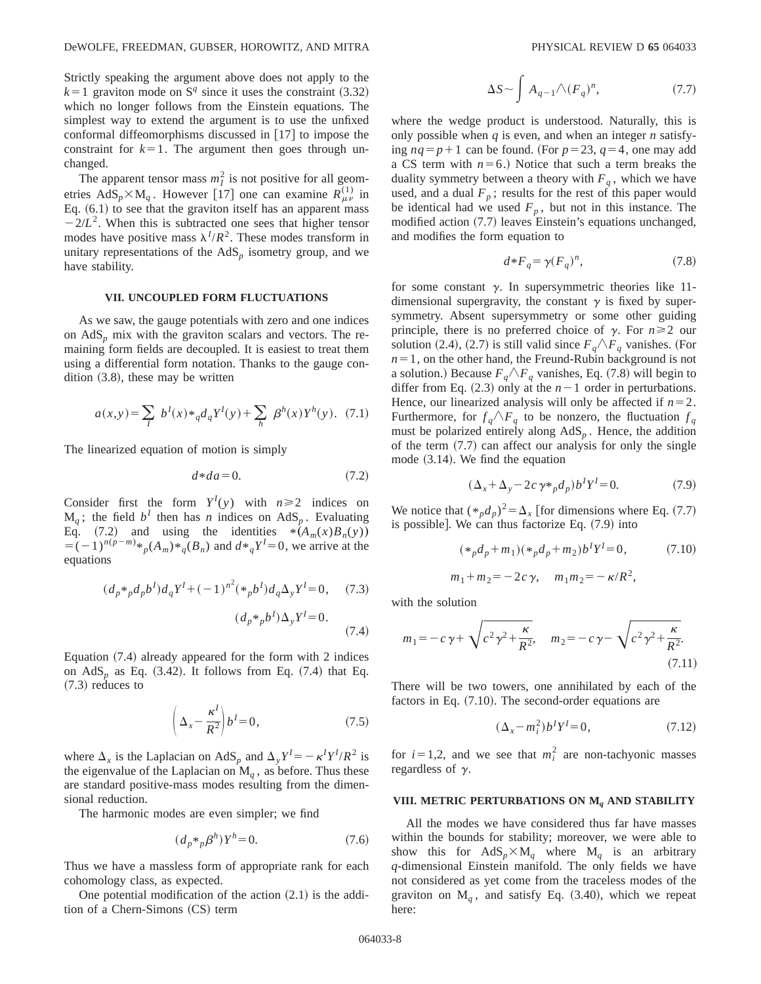Strictly speaking the argument above does not apply to the  $k=1$  graviton mode on S<sup>q</sup> since it uses the constraint (3.32) which no longer follows from the Einstein equations. The simplest way to extend the argument is to use the unfixed conformal diffeomorphisms discussed in  $[17]$  to impose the constraint for  $k=1$ . The argument then goes through unchanged.

The apparent tensor mass  $m<sub>I</sub><sup>2</sup>$  is not positive for all geometries  $AdS_p \times M_q$ . However [17] one can examine  $R_{\mu\nu}^{(1)}$  in Eq.  $(6.1)$  to see that the graviton itself has an apparent mass  $-2/L^2$ . When this is subtracted one sees that higher tensor modes have positive mass  $\lambda^I/R^2$ . These modes transform in unitary representations of the  $AdS<sub>p</sub>$  isometry group, and we have stability.

### **VII. UNCOUPLED FORM FLUCTUATIONS**

As we saw, the gauge potentials with zero and one indices on  $AdS<sub>p</sub>$  mix with the graviton scalars and vectors. The remaining form fields are decoupled. It is easiest to treat them using a differential form notation. Thanks to the gauge condition  $(3.8)$ , these may be written

$$
a(x,y) = \sum_{I} b^{I}(x) *_{q} d_{q} Y^{I}(y) + \sum_{h} \beta^{h}(x) Y^{h}(y). (7.1)
$$

The linearized equation of motion is simply

$$
d * da = 0. \tag{7.2}
$$

Consider first the form  $Y^I(y)$  with  $n \ge 2$  indices on  $M_q$ ; the field  $b^I$  then has *n* indices on AdS<sub>p</sub>. Evaluating Eq. (7.2) and using the identities  $*(A_m(x)B_n(y))$  $= (-1)^{n(p-m)} *_{p}(A_m) *_{q}(B_n)$  and  $d *_{q} Y^{I} = 0$ , we arrive at the equations

$$
(d_p *_{p} d_{p} b^{I}) d_{q} Y^{I} + (-1)^{n^{2}} (*_{p} b^{I}) d_{q} \Delta_{y} Y^{I} = 0, \quad (7.3)
$$

$$
(d_p *_{p} b^{I}) \Delta_{y} Y^{I} = 0.
$$
 (7.4)

Equation  $(7.4)$  already appeared for the form with 2 indices on  $AdS_p$  as Eq.  $(3.42)$ . It follows from Eq.  $(7.4)$  that Eq.  $(7.3)$  reduces to

$$
\left(\Delta_x - \frac{\kappa^I}{R^2}\right) b^I = 0,\tag{7.5}
$$

where  $\Delta_x$  is the Laplacian on AdS<sub>*p*</sub> and  $\Delta_y Y^I = -\kappa^I Y^I/R^2$  is the eigenvalue of the Laplacian on  $M_q$ , as before. Thus these are standard positive-mass modes resulting from the dimensional reduction.

The harmonic modes are even simpler; we find

$$
(d_p \ast_p \beta^h) Y^h = 0. \tag{7.6}
$$

Thus we have a massless form of appropriate rank for each cohomology class, as expected.

One potential modification of the action  $(2.1)$  is the addition of a Chern-Simons (CS) term

$$
\Delta S \sim \int A_{q-1} \wedge (F_q)^n, \tag{7.7}
$$

where the wedge product is understood. Naturally, this is only possible when *q* is even, and when an integer *n* satisfying  $nq = p+1$  can be found. (For  $p=23$ ,  $q=4$ , one may add a CS term with  $n=6$ .) Notice that such a term breaks the duality symmetry between a theory with  $F_q$ , which we have used, and a dual  $F_p$ ; results for the rest of this paper would be identical had we used  $F_p$ , but not in this instance. The modified action  $(7.7)$  leaves Einstein's equations unchanged, and modifies the form equation to

$$
d * F_q = \gamma (F_q)^n, \tag{7.8}
$$

for some constant  $\gamma$ . In supersymmetric theories like 11dimensional supergravity, the constant  $\gamma$  is fixed by supersymmetry. Absent supersymmetry or some other guiding principle, there is no preferred choice of  $\gamma$ . For  $n \ge 2$  our solution (2.4), (2.7) is still valid since  $F_q \wedge F_q$  vanishes. (For  $n=1$ , on the other hand, the Freund-Rubin background is not a solution.) Because  $F_q \wedge F_q$  vanishes, Eq. (7.8) will begin to differ from Eq.  $(2.3)$  only at the  $n-1$  order in perturbations. Hence, our linearized analysis will only be affected if  $n=2$ . Furthermore, for  $f_q \wedge F_q$  to be nonzero, the fluctuation  $f_q$ must be polarized entirely along AdS*<sup>p</sup>* . Hence, the addition of the term  $(7.7)$  can affect our analysis for only the single mode  $(3.14)$ . We find the equation

$$
(\Delta_x + \Delta_y - 2c\,\gamma \ast_p d_p) b^I Y^I = 0. \tag{7.9}
$$

We notice that  $(*_p d_p)^2 = \Delta_x$  [for dimensions where Eq. (7.7) is possible]. We can thus factorize Eq.  $(7.9)$  into

$$
(*_{p}d_{p} + m_{1})(*_{p}d_{p} + m_{2})b^{T}Y^{T} = 0,
$$
\n
$$
m_{1} + m_{2} = -2c\gamma, \quad m_{1}m_{2} = -\kappa/R^{2},
$$
\n(7.10)

with the solution

$$
m_1 = -c\,\gamma + \sqrt{c^2\,\gamma^2 + \frac{\kappa}{R^2}}, \quad m_2 = -c\,\gamma - \sqrt{c^2\,\gamma^2 + \frac{\kappa}{R^2}}.
$$
\n(7.11)

There will be two towers, one annihilated by each of the factors in Eq.  $(7.10)$ . The second-order equations are

$$
(\Delta_x - m_i^2)b^I Y^I = 0, \tag{7.12}
$$

for  $i=1,2$ , and we see that  $m_i^2$  are non-tachyonic masses regardless of  $\gamma$ .

# **VIII. METRIC PERTURBATIONS ON M***<sup>q</sup>* **AND STABILITY**

All the modes we have considered thus far have masses within the bounds for stability; moreover, we were able to show this for  $AdS_p \times M_q$  where  $M_q$  is an arbitrary *q*-dimensional Einstein manifold. The only fields we have not considered as yet come from the traceless modes of the graviton on  $M_a$ , and satisfy Eq.  $(3.40)$ , which we repeat here: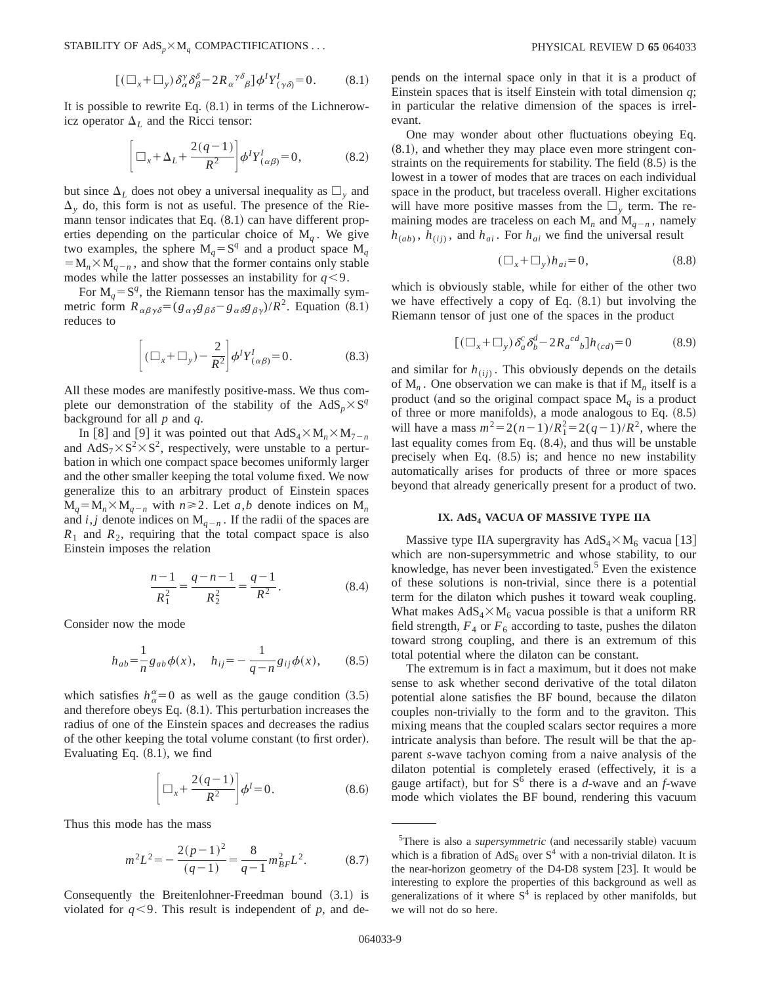STABILITY OF  $AdS_p \times M_q$  COMPACTIFICATIONS  $\dots$  **PHYSICAL REVIEW D 65** 064033

$$
[(\Box_x + \Box_y) \, \delta^\gamma_\alpha \delta^\delta_\beta - 2R_\alpha^{\ \gamma \delta}{}_\beta] \phi^I Y^I_{(\gamma \delta)} = 0. \tag{8.1}
$$

It is possible to rewrite Eq.  $(8.1)$  in terms of the Lichnerowicz operator  $\Delta_L$  and the Ricci tensor:

$$
\left[\Box_x + \Delta_L + \frac{2(q-1)}{R^2}\right] \phi^I Y^I_{(\alpha\beta)} = 0,\tag{8.2}
$$

but since  $\Delta_L$  does not obey a universal inequality as  $\Box_{v}$  and  $\Delta$ <sub>y</sub> do, this form is not as useful. The presence of the Riemann tensor indicates that Eq.  $(8.1)$  can have different properties depending on the particular choice of  $M_a$ . We give two examples, the sphere  $M_q = S^q$  and a product space  $M_q$  $= M_n \times M_{n-n}$ , and show that the former contains only stable modes while the latter possesses an instability for  $q < 9$ .

For  $M_q = S^q$ , the Riemann tensor has the maximally symmetric form  $R_{\alpha\beta\gamma\delta} = (g_{\alpha\gamma}g_{\beta\delta} - g_{\alpha\delta}g_{\beta\gamma})/R^2$ . Equation (8.1) reduces to

$$
\left[ (\Box_x + \Box_y) - \frac{2}{R^2} \right] \phi^I Y^I_{(\alpha \beta)} = 0. \tag{8.3}
$$

All these modes are manifestly positive-mass. We thus complete our demonstration of the stability of the  $AdS_n \times S^q$ background for all *p* and *q*.

In [8] and [9] it was pointed out that  $AdS_4 \times M_n \times M_{7-n}$ and  $AdS_7\times S^2\times S^2$ , respectively, were unstable to a perturbation in which one compact space becomes uniformly larger and the other smaller keeping the total volume fixed. We now generalize this to an arbitrary product of Einstein spaces  $M_a = M_n \times M_{a-n}$  with  $n \ge 2$ . Let *a*,*b* denote indices on  $M_n$ and  $i, j$  denote indices on  $M_{q-n}$ . If the radii of the spaces are  $R_1$  and  $R_2$ , requiring that the total compact space is also Einstein imposes the relation

$$
\frac{n-1}{R_1^2} = \frac{q-n-1}{R_2^2} = \frac{q-1}{R^2}.
$$
 (8.4)

Consider now the mode

$$
h_{ab} = \frac{1}{n} g_{ab} \phi(x), \quad h_{ij} = -\frac{1}{q-n} g_{ij} \phi(x), \quad (8.5)
$$

which satisfies  $h_{\alpha}^{\alpha}=0$  as well as the gauge condition (3.5) and therefore obeys Eq.  $(8.1)$ . This perturbation increases the radius of one of the Einstein spaces and decreases the radius of the other keeping the total volume constant (to first order). Evaluating Eq.  $(8.1)$ , we find

$$
\left[\Box_x + \frac{2(q-1)}{R^2}\right]\phi^I = 0.
$$
\n(8.6)

Thus this mode has the mass

$$
m^{2}L^{2} = -\frac{2(p-1)^{2}}{(q-1)} = \frac{8}{q-1}m_{BF}^{2}L^{2}.
$$
 (8.7)

Consequently the Breitenlohner-Freedman bound  $(3.1)$  is violated for  $q<9$ . This result is independent of  $p$ , and depends on the internal space only in that it is a product of Einstein spaces that is itself Einstein with total dimension *q*; in particular the relative dimension of the spaces is irrelevant.

One may wonder about other fluctuations obeying Eq.  $(8.1)$ , and whether they may place even more stringent constraints on the requirements for stability. The field  $(8.5)$  is the lowest in a tower of modes that are traces on each individual space in the product, but traceless overall. Higher excitations will have more positive masses from the  $\Box$ , term. The remaining modes are traceless on each  $M_n$  and  $M_{q-n}$ , namely  $h_{(ab)}$ ,  $h_{(ij)}$ , and  $h_{ai}$ . For  $h_{ai}$  we find the universal result

$$
(\Box_x + \Box_y)h_{ai} = 0,\t\t(8.8)
$$

which is obviously stable, while for either of the other two we have effectively a copy of Eq.  $(8.1)$  but involving the Riemann tensor of just one of the spaces in the product

$$
[(\Box_x + \Box_y) \delta_a^c \delta_b^d - 2R_a^{cd}{}_{b}]h_{(cd)} = 0 \qquad (8.9)
$$

and similar for  $h_{(ii)}$ . This obviously depends on the details of  $M_n$ . One observation we can make is that if  $M_n$  itself is a product (and so the original compact space  $M_q$  is a product of three or more manifolds), a mode analogous to Eq.  $(8.5)$ will have a mass  $m^2 = 2(n-1)/R_1^2 = 2(q-1)/R^2$ , where the last equality comes from Eq.  $(8.4)$ , and thus will be unstable precisely when Eq.  $(8.5)$  is; and hence no new instability automatically arises for products of three or more spaces beyond that already generically present for a product of two.

### **IX. AdS4 VACUA OF MASSIVE TYPE IIA**

Massive type IIA supergravity has  $AdS_4 \times M_6$  vacua [13] which are non-supersymmetric and whose stability, to our knowledge, has never been investigated. $5$  Even the existence of these solutions is non-trivial, since there is a potential term for the dilaton which pushes it toward weak coupling. What makes  $AdS_4 \times M_6$  vacua possible is that a uniform RR field strength,  $F_4$  or  $F_6$  according to taste, pushes the dilaton toward strong coupling, and there is an extremum of this total potential where the dilaton can be constant.

The extremum is in fact a maximum, but it does not make sense to ask whether second derivative of the total dilaton potential alone satisfies the BF bound, because the dilaton couples non-trivially to the form and to the graviton. This mixing means that the coupled scalars sector requires a more intricate analysis than before. The result will be that the apparent *s*-wave tachyon coming from a naive analysis of the dilaton potential is completely erased (effectively, it is a gauge artifact), but for  $S^6$  there is a *d*-wave and an *f*-wave mode which violates the BF bound, rendering this vacuum

<sup>&</sup>lt;sup>5</sup>There is also a *supersymmetric* (and necessarily stable) vacuum which is a fibration of  $AdS_6$  over  $S^4$  with a non-trivial dilaton. It is the near-horizon geometry of the D4-D8 system  $[23]$ . It would be interesting to explore the properties of this background as well as generalizations of it where  $S<sup>4</sup>$  is replaced by other manifolds, but we will not do so here.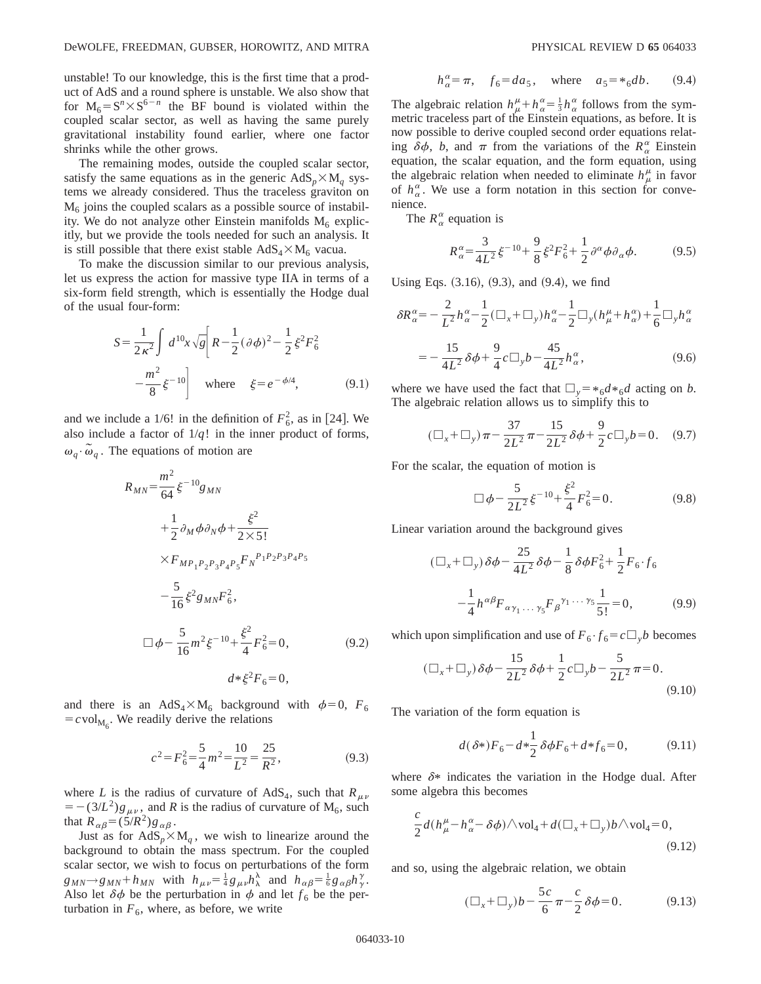unstable! To our knowledge, this is the first time that a product of AdS and a round sphere is unstable. We also show that for  $M_6 = S^n \times S^{6-n}$  the BF bound is violated within the coupled scalar sector, as well as having the same purely gravitational instability found earlier, where one factor shrinks while the other grows.

The remaining modes, outside the coupled scalar sector, satisfy the same equations as in the generic  $AdS_p \times M_q$  systems we already considered. Thus the traceless graviton on  $M<sub>6</sub>$  joins the coupled scalars as a possible source of instability. We do not analyze other Einstein manifolds  $M_6$  explicitly, but we provide the tools needed for such an analysis. It is still possible that there exist stable  $AdS_4 \times M_6$  vacua.

To make the discussion similar to our previous analysis, let us express the action for massive type IIA in terms of a six-form field strength, which is essentially the Hodge dual of the usual four-form:

$$
S = \frac{1}{2\kappa^2} \int d^{10}x \sqrt{g} \left[ R - \frac{1}{2} (\partial \phi)^2 - \frac{1}{2} \xi^2 F_6^2 \right]
$$

$$
- \frac{m^2}{8} \xi^{-10} \right] \text{ where } \xi = e^{-\phi/4}, \qquad (9.1)
$$

and we include a 1/6! in the definition of  $F_6^2$ , as in [24]. We also include a factor of  $1/q!$  in the inner product of forms,  $\omega_q \cdot \tilde{\omega}_q$ . The equations of motion are

$$
R_{MN} = \frac{m^2}{64} \xi^{-10} g_{MN}
$$
  
+  $\frac{1}{2} \partial_M \phi \partial_N \phi + \frac{\xi^2}{2 \times 5!}$   
 $\times F_{MP_1P_2P_3P_4P_5} F_N^{P_1P_2P_3P_4P_5}$   
-  $\frac{5}{16} \xi^2 g_{MN} F_6^2$ ,  

$$
\Box \phi - \frac{5}{16} m^2 \xi^{-10} + \frac{\xi^2}{4} F_6^2 = 0,
$$
 (9.2)  
 $d * \xi^2 F_6 = 0,$ 

and there is an AdS<sub>4</sub> $\times$ M<sub>6</sub> background with  $\phi$ =0,  $F_6$  $= c \text{vol}_{M_6}$ . We readily derive the relations

$$
c^2 = F_6^2 = \frac{5}{4}m^2 = \frac{10}{L^2} = \frac{25}{R^2},
$$
\n(9.3)

where *L* is the radius of curvature of AdS<sub>4</sub>, such that  $R_{\mu\nu}$  $=-(3/L^2)g_{\mu\nu}$ , and *R* is the radius of curvature of M<sub>6</sub>, such that  $R_{\alpha\beta} = (5/R^2)g_{\alpha\beta}$ .

Just as for  $AdS_p \times M_q$ , we wish to linearize around the background to obtain the mass spectrum. For the coupled scalar sector, we wish to focus on perturbations of the form  $g_{MN} \rightarrow g_{MN} + h_{MN}$  with  $h_{\mu\nu} = \frac{1}{4} g_{\mu\nu} h_{\lambda}^{\lambda}$  and  $h_{\alpha\beta} = \frac{1}{6} g_{\alpha\beta} h_{\gamma}^{\gamma}$ . Also let  $\delta \phi$  be the perturbation in  $\phi$  and let  $f_6$  be the perturbation in  $F_6$ , where, as before, we write

$$
h_{\alpha}^{\alpha} = \pi
$$
,  $f_6 = da_5$ , where  $a_5 = *_{6}db$ . (9.4)

The algebraic relation  $h^{\mu}_{\mu} + h^{\alpha}_{\alpha} = \frac{1}{3} h^{\alpha}_{\alpha}$  follows from the symmetric traceless part of the Einstein equations, as before. It is now possible to derive coupled second order equations relating  $\delta\phi$ , *b*, and  $\pi$  from the variations of the  $R_{\alpha}^{\alpha}$  Einstein equation, the scalar equation, and the form equation, using the algebraic relation when needed to eliminate  $h^{\mu}_{\mu}$  in favor of  $h_{\alpha}^{\alpha}$ . We use a form notation in this section for convenience.

The  $R^{\alpha}_{\alpha}$  equation is

$$
R_{\alpha}^{\alpha} = \frac{3}{4L^2} \xi^{-10} + \frac{9}{8} \xi^2 F_6^2 + \frac{1}{2} \partial^{\alpha} \phi \partial_{\alpha} \phi.
$$
 (9.5)

Using Eqs.  $(3.16)$ ,  $(9.3)$ , and  $(9.4)$ , we find

$$
\delta R_{\alpha}^{\alpha} = -\frac{2}{L^2} h_{\alpha}^{\alpha} - \frac{1}{2} (\Box_x + \Box_y) h_{\alpha}^{\alpha} - \frac{1}{2} \Box_y (h_{\mu}^{\mu} + h_{\alpha}^{\alpha}) + \frac{1}{6} \Box_y h_{\alpha}^{\alpha}
$$

$$
= -\frac{15}{4L^2} \delta \phi + \frac{9}{4} c \Box_y b - \frac{45}{4L^2} h_{\alpha}^{\alpha}, \tag{9.6}
$$

where we have used the fact that  $\Box_v = *_{6}d *_{6}d$  acting on *b*. The algebraic relation allows us to simplify this to

$$
(\Box_x + \Box_y)\pi - \frac{37}{2L^2}\pi - \frac{15}{2L^2}\delta\phi + \frac{9}{2}c\Box_y b = 0. \quad (9.7)
$$

For the scalar, the equation of motion is

$$
\Box \phi - \frac{5}{2L^2} \xi^{-10} + \frac{\xi^2}{4} F_6^2 = 0.
$$
 (9.8)

Linear variation around the background gives

$$
(\Box_x + \Box_y) \delta\phi - \frac{25}{4L^2} \delta\phi - \frac{1}{8} \delta\phi F_6^2 + \frac{1}{2} F_6 \cdot f_6
$$

$$
-\frac{1}{4} h^{\alpha\beta} F_{\alpha\gamma_1 \dots \gamma_5} F_{\beta}^{\gamma_1 \dots \gamma_5} \frac{1}{5!} = 0, \tag{9.9}
$$

which upon simplification and use of  $F_6 \cdot f_6 = c \square_{\nu} b$  becomes

$$
(\Box_x + \Box_y) \, \delta \phi - \frac{15}{2L^2} \, \delta \phi + \frac{1}{2} c \Box_y b - \frac{5}{2L^2} \, \pi = 0. \tag{9.10}
$$

The variation of the form equation is

$$
d(\delta^*)F_6 - d*\frac{1}{2}\delta\phi F_6 + d*f_6 = 0,\tag{9.11}
$$

where  $\delta^*$  indicates the variation in the Hodge dual. After some algebra this becomes

$$
\frac{c}{2}d(h_{\mu}^{\mu}-h_{\alpha}^{\alpha}-\delta\phi)\wedge \text{vol}_{4}+d(\square_{x}+\square_{y})b\wedge \text{vol}_{4}=0,
$$
\n(9.12)

and so, using the algebraic relation, we obtain

$$
(\Box_x + \Box_y) b - \frac{5c}{6} \pi - \frac{c}{2} \delta \phi = 0.
$$
 (9.13)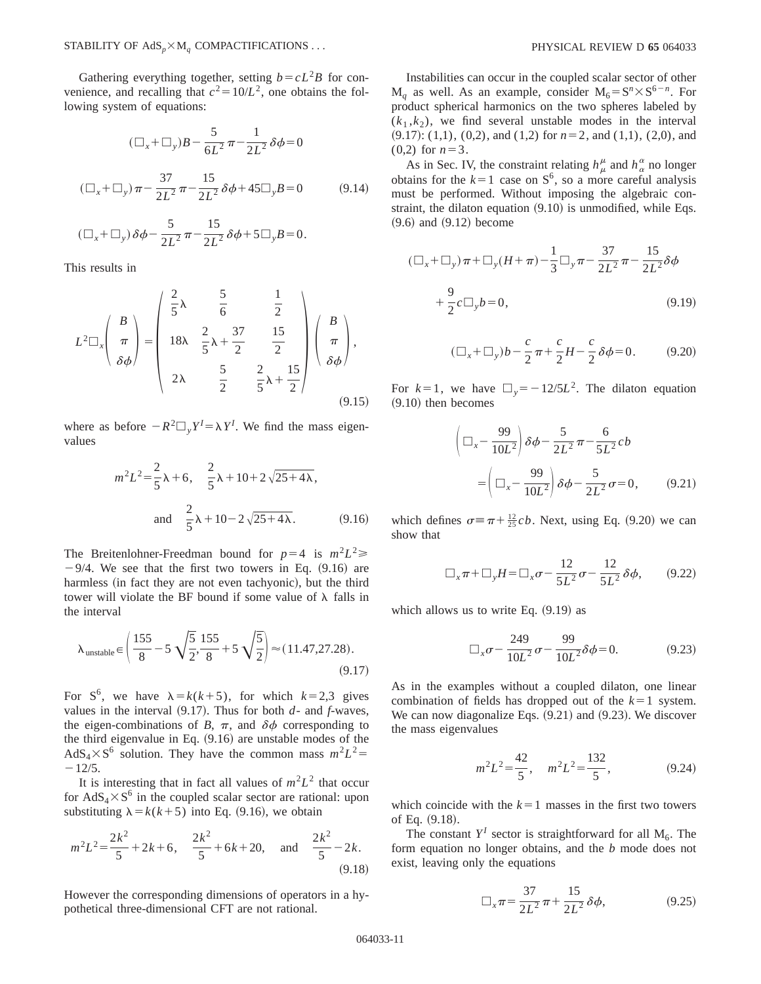Gathering everything together, setting  $b = cL^2B$  for convenience, and recalling that  $c^2 = 10/L^2$ , one obtains the following system of equations:

$$
(\Box_x + \Box_y)B - \frac{5}{6L^2}\pi - \frac{1}{2L^2}\delta\phi = 0
$$
  

$$
(\Box_x + \Box_y)\pi - \frac{37}{2L^2}\pi - \frac{15}{2L^2}\delta\phi + 45\Box_y B = 0
$$
 (9.14)

$$
(\Box_x + \Box_y)\,\delta\phi - \frac{5}{2L^2}\,\pi - \frac{15}{2L^2}\,\delta\phi + 5\Box_y B = 0.
$$

This results in

$$
L^{2}\Box_{x}\left(\begin{array}{c}B\\ \pi\\ \delta\phi\end{array}\right)=\left(\begin{array}{ccc} \frac{2}{5}\lambda & \frac{5}{6} & \frac{1}{2} \\ 18\lambda & \frac{2}{5}\lambda+\frac{37}{2} & \frac{15}{2} \\ 2\lambda & \frac{5}{2} & \frac{2}{5}\lambda+\frac{15}{2} \end{array}\right)\left(\begin{array}{c}B\\ \pi\\ \delta\phi\end{array}\right),\tag{9.15}
$$

where as before  $-R^2\Box_y Y^I = \lambda Y^I$ . We find the mass eigenvalues

$$
m^{2}L^{2} = \frac{2}{5}\lambda + 6, \quad \frac{2}{5}\lambda + 10 + 2\sqrt{25 + 4\lambda},
$$
  
and 
$$
\frac{2}{5}\lambda + 10 - 2\sqrt{25 + 4\lambda}.
$$
 (9.16)

The Breitenlohner-Freedman bound for  $p=4$  is  $m^2L^2 \ge 0$  $-9/4$ . We see that the first two towers in Eq.  $(9.16)$  are harmless (in fact they are not even tachyonic), but the third tower will violate the BF bound if some value of  $\lambda$  falls in the interval

$$
\lambda_{\text{unstable}} \in \left(\frac{155}{8} - 5\sqrt{\frac{5}{2}}, \frac{155}{8} + 5\sqrt{\frac{5}{2}}\right) \approx (11.47, 27.28). \tag{9.17}
$$

For S<sup>6</sup>, we have  $\lambda = k(k+5)$ , for which  $k=2,3$  gives values in the interval  $(9.17)$ . Thus for both  $d$ - and  $f$ -waves, the eigen-combinations of *B*,  $\pi$ , and  $\delta\phi$  corresponding to the third eigenvalue in Eq.  $(9.16)$  are unstable modes of the  $AdS_4 \times S^6$  solution. They have the common mass  $m^2L^2$  $-12/5.$ 

It is interesting that in fact all values of  $m^2L^2$  that occur for  $AdS_4 \times S^6$  in the coupled scalar sector are rational: upon substituting  $\lambda = k(k+5)$  into Eq. (9.16), we obtain

$$
m^{2}L^{2} = \frac{2k^{2}}{5} + 2k + 6, \quad \frac{2k^{2}}{5} + 6k + 20, \quad \text{and} \quad \frac{2k^{2}}{5} - 2k.
$$
\n(9.18)

However the corresponding dimensions of operators in a hypothetical three-dimensional CFT are not rational.

Instabilities can occur in the coupled scalar sector of other  $M_a$  as well. As an example, consider  $M_6 = S^n \times S^{6-n}$ . For product spherical harmonics on the two spheres labeled by  $(k_1, k_2)$ , we find several unstable modes in the interval  $(9.17)$ :  $(1,1)$ ,  $(0,2)$ , and  $(1,2)$  for  $n=2$ , and  $(1,1)$ ,  $(2,0)$ , and  $(0,2)$  for  $n=3$ .

As in Sec. IV, the constraint relating  $h^{\mu}_{\mu}$  and  $h^{\alpha}_{\alpha}$  no longer obtains for the  $k=1$  case on  $S^6$ , so a more careful analysis must be performed. Without imposing the algebraic constraint, the dilaton equation  $(9.10)$  is unmodified, while Eqs.  $(9.6)$  and  $(9.12)$  become

$$
(\Box_x + \Box_y)\pi + \Box_y(H + \pi) - \frac{1}{3}\Box_y\pi - \frac{37}{2L^2}\pi - \frac{15}{2L^2}\delta\phi
$$
  
+  $\frac{9}{2}c\Box_y b = 0,$  (9.19)

$$
(\Box_x + \Box_y) b - \frac{c}{2} \pi + \frac{c}{2} H - \frac{c}{2} \delta \phi = 0.
$$
 (9.20)

For  $k=1$ , we have  $\Box_y = -12/5L^2$ . The dilaton equation  $(9.10)$  then becomes

$$
\left(\Box_x - \frac{99}{10L^2}\right)\delta\phi - \frac{5}{2L^2}\pi - \frac{6}{5L^2}cb
$$

$$
= \left(\Box_x - \frac{99}{10L^2}\right)\delta\phi - \frac{5}{2L^2}\sigma = 0, \qquad (9.21)
$$

which defines  $\sigma = \pi + \frac{12}{25}cb$ . Next, using Eq. (9.20) we can show that

$$
\Box_x \pi + \Box_y H = \Box_x \sigma - \frac{12}{5L^2} \sigma - \frac{12}{5L^2} \delta \phi, \qquad (9.22)
$$

which allows us to write Eq.  $(9.19)$  as

$$
\Box_x \sigma - \frac{249}{10L^2} \sigma - \frac{99}{10L^2} \delta \phi = 0.
$$
 (9.23)

As in the examples without a coupled dilaton, one linear combination of fields has dropped out of the  $k=1$  system. We can now diagonalize Eqs.  $(9.21)$  and  $(9.23)$ . We discover the mass eigenvalues

$$
m^2L^2 = \frac{42}{5}, \quad m^2L^2 = \frac{132}{5}, \tag{9.24}
$$

which coincide with the  $k=1$  masses in the first two towers of Eq.  $(9.18)$ .

The constant  $Y^I$  sector is straightforward for all  $M_6$ . The form equation no longer obtains, and the *b* mode does not exist, leaving only the equations

$$
\Box_x \pi = \frac{37}{2L^2} \pi + \frac{15}{2L^2} \delta \phi, \tag{9.25}
$$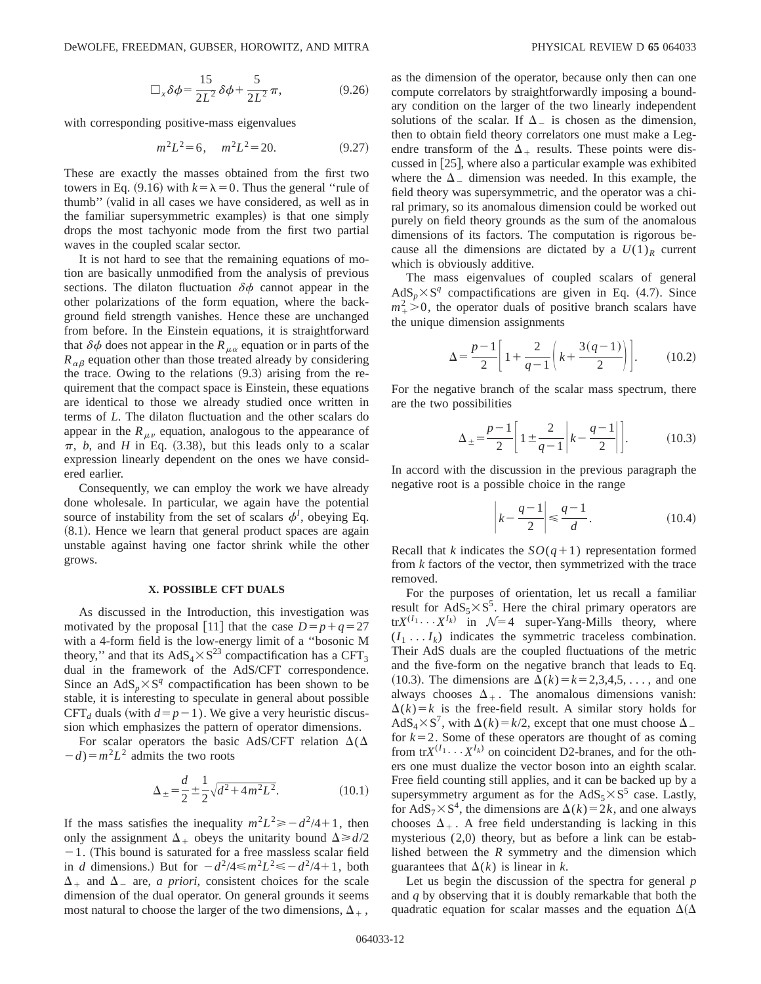$$
\Box_x \delta \phi = \frac{15}{2L^2} \delta \phi + \frac{5}{2L^2} \pi,
$$
\n(9.26)

with corresponding positive-mass eigenvalues

$$
m^2L^2 = 6, \quad m^2L^2 = 20. \tag{9.27}
$$

These are exactly the masses obtained from the first two towers in Eq. (9.16) with  $k = \lambda = 0$ . Thus the general "rule of thumb" (valid in all cases we have considered, as well as in the familiar supersymmetric examples) is that one simply drops the most tachyonic mode from the first two partial waves in the coupled scalar sector.

It is not hard to see that the remaining equations of motion are basically unmodified from the analysis of previous sections. The dilaton fluctuation  $\delta\phi$  cannot appear in the other polarizations of the form equation, where the background field strength vanishes. Hence these are unchanged from before. In the Einstein equations, it is straightforward that  $\delta\phi$  does not appear in the  $R_{\mu\alpha}$  equation or in parts of the  $R_{\alpha\beta}$  equation other than those treated already by considering the trace. Owing to the relations  $(9.3)$  arising from the requirement that the compact space is Einstein, these equations are identical to those we already studied once written in terms of *L*. The dilaton fluctuation and the other scalars do appear in the  $R_{\mu\nu}$  equation, analogous to the appearance of  $\pi$ , *b*, and *H* in Eq. (3.38), but this leads only to a scalar expression linearly dependent on the ones we have considered earlier.

Consequently, we can employ the work we have already done wholesale. In particular, we again have the potential source of instability from the set of scalars  $\phi^I$ , obeying Eq.  $(8.1)$ . Hence we learn that general product spaces are again unstable against having one factor shrink while the other grows.

#### **X. POSSIBLE CFT DUALS**

As discussed in the Introduction, this investigation was motivated by the proposal [11] that the case  $D=p+q=27$ with a 4-form field is the low-energy limit of a ''bosonic M theory," and that its  $AdS_4 \times S^{23}$  compactification has a CFT<sub>3</sub> dual in the framework of the AdS/CFT correspondence. Since an  $AdS_n \times S^q$  compactification has been shown to be stable, it is interesting to speculate in general about possible CFT<sub>d</sub> duals (with  $d=p-1$ ). We give a very heuristic discussion which emphasizes the pattern of operator dimensions.

For scalar operators the basic AdS/CFT relation  $\Delta(\Delta)$  $-d$ <sup>2</sup>L<sup>2</sup> admits the two roots

$$
\Delta_{\pm} = \frac{d}{2} \pm \frac{1}{2} \sqrt{d^2 + 4m^2 L^2}.
$$
 (10.1)

If the mass satisfies the inequality  $m^2L^2 \ge -d^2/4+1$ , then only the assignment  $\Delta_+$  obeys the unitarity bound  $\Delta \ge d/2$  $-1$ . (This bound is saturated for a free massless scalar field in *d* dimensions.) But for  $-d^2/4 \le m^2L^2 \le -d^2/4+1$ , both  $\Delta_+$  and  $\Delta_-$  are, *a priori*, consistent choices for the scale dimension of the dual operator. On general grounds it seems most natural to choose the larger of the two dimensions,  $\Delta_{+}$ , as the dimension of the operator, because only then can one compute correlators by straightforwardly imposing a boundary condition on the larger of the two linearly independent solutions of the scalar. If  $\Delta_{-}$  is chosen as the dimension, then to obtain field theory correlators one must make a Legendre transform of the  $\Delta_+$  results. These points were discussed in  $[25]$ , where also a particular example was exhibited where the  $\Delta$ <sub>-</sub> dimension was needed. In this example, the field theory was supersymmetric, and the operator was a chiral primary, so its anomalous dimension could be worked out purely on field theory grounds as the sum of the anomalous dimensions of its factors. The computation is rigorous because all the dimensions are dictated by a  $U(1)<sub>R</sub>$  current which is obviously additive.

The mass eigenvalues of coupled scalars of general  $AdS_p \times S^q$  compactifications are given in Eq. (4.7). Since  $m_+^2 > 0$ , the operator duals of positive branch scalars have the unique dimension assignments

$$
\Delta = \frac{p-1}{2} \left[ 1 + \frac{2}{q-1} \left( k + \frac{3(q-1)}{2} \right) \right].
$$
 (10.2)

For the negative branch of the scalar mass spectrum, there are the two possibilities

$$
\Delta_{\pm} = \frac{p-1}{2} \left[ 1 \pm \frac{2}{q-1} \left| k - \frac{q-1}{2} \right| \right].
$$
 (10.3)

In accord with the discussion in the previous paragraph the negative root is a possible choice in the range

$$
\left|k - \frac{q-1}{2}\right| \le \frac{q-1}{d}.\tag{10.4}
$$

Recall that *k* indicates the  $SO(q+1)$  representation formed from *k* factors of the vector, then symmetrized with the trace removed.

For the purposes of orientation, let us recall a familiar result for  $AdS_5 \times S^5$ . Here the chiral primary operators are  $trX^{(I_1} \cdots X^{I_k)}$  in  $\mathcal{N}=4$  super-Yang-Mills theory, where  $(I_1 \ldots I_k)$  indicates the symmetric traceless combination. Their AdS duals are the coupled fluctuations of the metric and the five-form on the negative branch that leads to Eq. (10.3). The dimensions are  $\Delta(k) = k = 2,3,4,5,...$ , and one always chooses  $\Delta_+$ . The anomalous dimensions vanish:  $\Delta(k) = k$  is the free-field result. A similar story holds for  $AdS_4 \times S^7$ , with  $\Delta(k) = k/2$ , except that one must choose  $\Delta$ for  $k=2$ . Some of these operators are thought of as coming from  $trX^{(I_1} \cdots X^{I_k)}$  on coincident D2-branes, and for the others one must dualize the vector boson into an eighth scalar. Free field counting still applies, and it can be backed up by a supersymmetry argument as for the  $AdS_5 \times S^5$  case. Lastly, for AdS<sub>7</sub>×S<sup>4</sup>, the dimensions are  $\Delta(k)=2k$ , and one always chooses  $\Delta_+$ . A free field understanding is lacking in this mysterious (2,0) theory, but as before a link can be established between the *R* symmetry and the dimension which guarantees that  $\Delta(k)$  is linear in *k*.

Let us begin the discussion of the spectra for general *p* and *q* by observing that it is doubly remarkable that both the quadratic equation for scalar masses and the equation  $\Delta(\Delta)$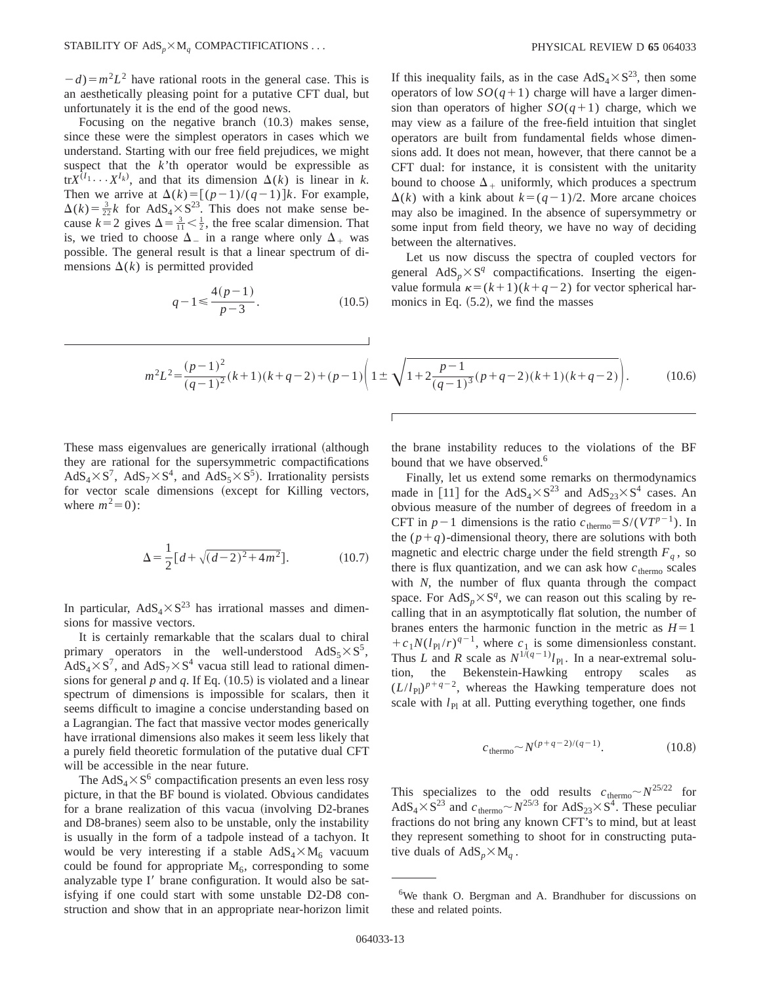$(d) = m^2 L^2$  have rational roots in the general case. This is an aesthetically pleasing point for a putative CFT dual, but unfortunately it is the end of the good news.

Focusing on the negative branch  $(10.3)$  makes sense, since these were the simplest operators in cases which we understand. Starting with our free field prejudices, we might suspect that the *k*'th operator would be expressible as tr $X^{(I_1} \cdots X^{I_k)}$ , and that its dimension  $\Delta(k)$  is linear in *k*. Then we arrive at  $\Delta(k) = [(p-1)/(q-1)]k$ . For example,  $\Delta(k) = \frac{3}{22}k$  for AdS<sub>4</sub>×S<sup>23</sup>. This does not make sense because  $k=2$  gives  $\Delta = \frac{3}{11} < \frac{1}{2}$ , the free scalar dimension. That is, we tried to choose  $\Delta_-$  in a range where only  $\Delta_+$  was possible. The general result is that a linear spectrum of dimensions  $\Delta(k)$  is permitted provided

$$
q - 1 \le \frac{4(p - 1)}{p - 3}.
$$
 (10.5)

If this inequality fails, as in the case  $AdS_4 \times S^{23}$ , then some operators of low  $SO(q+1)$  charge will have a larger dimension than operators of higher  $SO(q+1)$  charge, which we may view as a failure of the free-field intuition that singlet operators are built from fundamental fields whose dimensions add. It does not mean, however, that there cannot be a CFT dual: for instance, it is consistent with the unitarity bound to choose  $\Delta_+$  uniformly, which produces a spectrum  $\Delta(k)$  with a kink about  $k=(q-1)/2$ . More arcane choices may also be imagined. In the absence of supersymmetry or some input from field theory, we have no way of deciding between the alternatives.

Let us now discuss the spectra of coupled vectors for general  $AdS_n \times S^q$  compactifications. Inserting the eigenvalue formula  $\kappa=(k+1)(k+q-2)$  for vector spherical harmonics in Eq.  $(5.2)$ , we find the masses

$$
m^{2}L^{2} = \frac{(p-1)^{2}}{(q-1)^{2}}(k+1)(k+q-2) + (p-1)\left(1 \pm \sqrt{1+2\frac{p-1}{(q-1)^{3}}(p+q-2)(k+1)(k+q-2)}\right).
$$
 (10.6)

These mass eigenvalues are generically irrational (although they are rational for the supersymmetric compactifications  $AdS_4 \times S^7$ ,  $AdS_7 \times S^4$ , and  $AdS_5 \times S^5$ ). Irrationality persists for vector scale dimensions (except for Killing vectors, where  $m^2=0$ :

$$
\Delta = \frac{1}{2} \left[ d + \sqrt{(d-2)^2 + 4m^2} \right].
$$
 (10.7)

In particular,  $AdS_4 \times S^{23}$  has irrational masses and dimensions for massive vectors.

It is certainly remarkable that the scalars dual to chiral primary operators in the well-understood  $AdS_5 \times S^5$ ,  $AdS_4 \times S^7$ , and  $AdS_7 \times S^4$  vacua still lead to rational dimensions for general  $p$  and  $q$ . If Eq.  $(10.5)$  is violated and a linear spectrum of dimensions is impossible for scalars, then it seems difficult to imagine a concise understanding based on a Lagrangian. The fact that massive vector modes generically have irrational dimensions also makes it seem less likely that a purely field theoretic formulation of the putative dual CFT will be accessible in the near future.

The AdS<sub>4</sub> $\times$ S<sup>6</sup> compactification presents an even less rosy picture, in that the BF bound is violated. Obvious candidates for a brane realization of this vacua (involving D2-branes and D8-branes) seem also to be unstable, only the instability is usually in the form of a tadpole instead of a tachyon. It would be very interesting if a stable  $AdS_4 \times M_6$  vacuum could be found for appropriate  $M_6$ , corresponding to some analyzable type I' brane configuration. It would also be satisfying if one could start with some unstable D2-D8 construction and show that in an appropriate near-horizon limit the brane instability reduces to the violations of the BF bound that we have observed.<sup>6</sup>

Finally, let us extend some remarks on thermodynamics made in [11] for the  $AdS_4 \times S^{23}$  and  $AdS_{23} \times S^4$  cases. An obvious measure of the number of degrees of freedom in a CFT in  $p-1$  dimensions is the ratio  $c_{\text{thermo}} = S/(V T^{p-1})$ . In the  $(p+q)$ -dimensional theory, there are solutions with both magnetic and electric charge under the field strength  $F_q$ , so there is flux quantization, and we can ask how  $c$ <sub>thermo</sub> scales with *N*, the number of flux quanta through the compact space. For  $AdS_n \times S^q$ , we can reason out this scaling by recalling that in an asymptotically flat solution, the number of branes enters the harmonic function in the metric as  $H=1$  $+c_1N(l_{\rm Pl}/r)^{q-1}$ , where  $c_1$  is some dimensionless constant. Thus *L* and *R* scale as  $N^{1/(q-1)}l_{\text{Pl}}$ . In a near-extremal solution, the Bekenstein-Hawking entropy scales as  $(L/l_{\text{Pl}})^{p+q-2}$ , whereas the Hawking temperature does not scale with  $l_{\text{Pl}}$  at all. Putting everything together, one finds

$$
c_{\text{thermo}} \sim N^{(p+q-2)/(q-1)}.\tag{10.8}
$$

This specializes to the odd results  $c_{\text{thermo}} \sim N^{25/22}$  for  $AdS_4 \times S^{23}$  and  $c_{thermo} \sim N^{25/3}$  for  $AdS_{23} \times S^4$ . These peculiar fractions do not bring any known CFT's to mind, but at least they represent something to shoot for in constructing putative duals of  $AdS_p \times M_q$ .

<sup>&</sup>lt;sup>6</sup>We thank O. Bergman and A. Brandhuber for discussions on these and related points.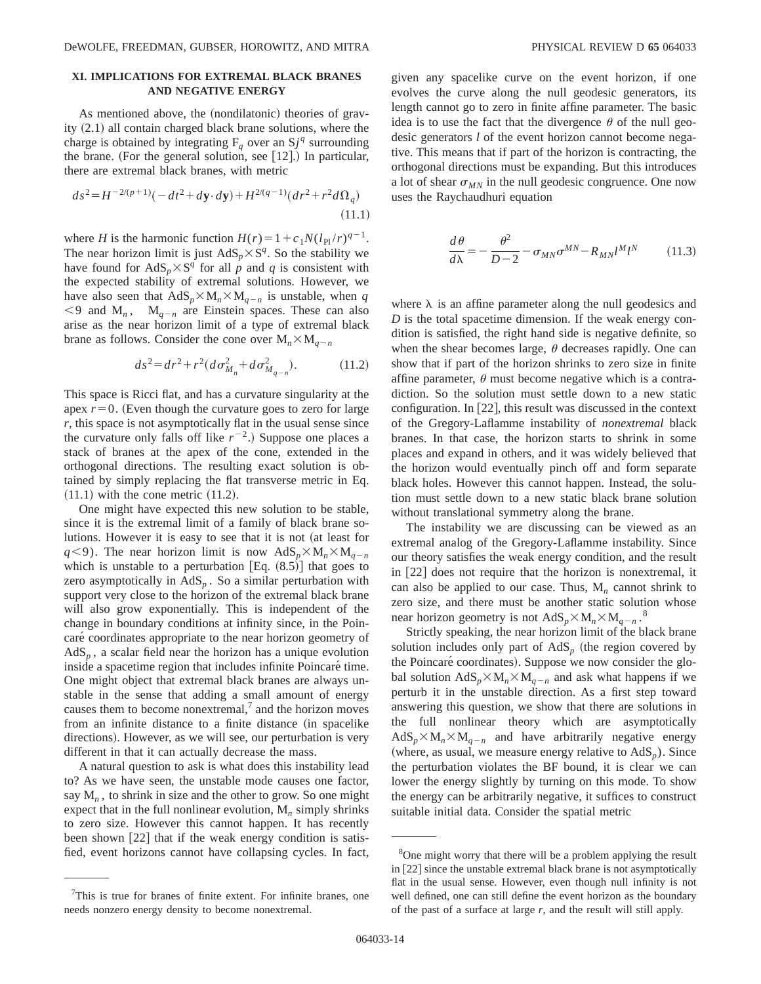# **XI. IMPLICATIONS FOR EXTREMAL BLACK BRANES AND NEGATIVE ENERGY**

As mentioned above, the (nondilatonic) theories of gravity  $(2.1)$  all contain charged black brane solutions, where the charge is obtained by integrating  $F_q$  over an  $Sj^q$  surrounding the brane. (For the general solution, see  $[12]$ .) In particular, there are extremal black branes, with metric

$$
ds^{2} = H^{-2/(p+1)}(-dt^{2} + d\mathbf{y} \cdot d\mathbf{y}) + H^{2/(q-1)}(dr^{2} + r^{2}d\Omega_{q})
$$
\n(11.1)

where *H* is the harmonic function  $H(r) = 1 + c_1 N(l_{\text{Pl}}/r)^{q-1}$ . The near horizon limit is just  $AdS_p \times S^q$ . So the stability we have found for  $AdS_n \times S^q$  for all *p* and *q* is consistent with the expected stability of extremal solutions. However, we have also seen that  $AdS_p \times M_n \times M_{q-n}$  is unstable, when *q*  $\leq$ 9 and M<sub>n</sub>, M<sub>q-n</sub> are Einstein spaces. These can also arise as the near horizon limit of a type of extremal black brane as follows. Consider the cone over  $M_n \times M_{n}$ 

$$
ds^{2} = dr^{2} + r^{2} (d\sigma_{M_{n}}^{2} + d\sigma_{M_{q-n}}^{2}).
$$
 (11.2)

This space is Ricci flat, and has a curvature singularity at the apex  $r=0$ . (Even though the curvature goes to zero for large *r*, this space is not asymptotically flat in the usual sense since the curvature only falls off like  $r^{-2}$ .) Suppose one places a stack of branes at the apex of the cone, extended in the orthogonal directions. The resulting exact solution is obtained by simply replacing the flat transverse metric in Eq.  $(11.1)$  with the cone metric  $(11.2)$ .

One might have expected this new solution to be stable, since it is the extremal limit of a family of black brane solutions. However it is easy to see that it is not (at least for *q*<9). The near horizon limit is now  $AdS_p \times M_n \times M_{q-n}$ which is unstable to a perturbation  $[Eq. (8.5)]$  that goes to zero asymptotically in  $AdS<sub>p</sub>$ . So a similar perturbation with support very close to the horizon of the extremal black brane will also grow exponentially. This is independent of the change in boundary conditions at infinity since, in the Poincaré coordinates appropriate to the near horizon geometry of  $AdS<sub>n</sub>$ , a scalar field near the horizon has a unique evolution inside a spacetime region that includes infinite Poincaré time. One might object that extremal black branes are always unstable in the sense that adding a small amount of energy causes them to become nonextremal, $<sup>7</sup>$  and the horizon moves</sup> from an infinite distance to a finite distance (in spacelike directions). However, as we will see, our perturbation is very different in that it can actually decrease the mass.

A natural question to ask is what does this instability lead to? As we have seen, the unstable mode causes one factor, say  $M_n$ , to shrink in size and the other to grow. So one might expect that in the full nonlinear evolution, M*<sup>n</sup>* simply shrinks to zero size. However this cannot happen. It has recently been shown  $[22]$  that if the weak energy condition is satisfied, event horizons cannot have collapsing cycles. In fact, given any spacelike curve on the event horizon, if one evolves the curve along the null geodesic generators, its length cannot go to zero in finite affine parameter. The basic idea is to use the fact that the divergence  $\theta$  of the null geodesic generators *l* of the event horizon cannot become nega-

tive. This means that if part of the horizon is contracting, the orthogonal directions must be expanding. But this introduces a lot of shear  $\sigma_{MN}$  in the null geodesic congruence. One now uses the Raychaudhuri equation

$$
\frac{d\theta}{d\lambda} = -\frac{\theta^2}{D-2} - \sigma_{MN}\sigma^{MN} - R_{MN}l^M l^N \tag{11.3}
$$

where  $\lambda$  is an affine parameter along the null geodesics and *D* is the total spacetime dimension. If the weak energy condition is satisfied, the right hand side is negative definite, so when the shear becomes large,  $\theta$  decreases rapidly. One can show that if part of the horizon shrinks to zero size in finite affine parameter,  $\theta$  must become negative which is a contradiction. So the solution must settle down to a new static configuration. In  $[22]$ , this result was discussed in the context of the Gregory-Laflamme instability of *nonextremal* black branes. In that case, the horizon starts to shrink in some places and expand in others, and it was widely believed that the horizon would eventually pinch off and form separate black holes. However this cannot happen. Instead, the solution must settle down to a new static black brane solution without translational symmetry along the brane.

The instability we are discussing can be viewed as an extremal analog of the Gregory-Laflamme instability. Since our theory satisfies the weak energy condition, and the result in  $[22]$  does not require that the horizon is nonextremal, it can also be applied to our case. Thus,  $M<sub>n</sub>$  cannot shrink to zero size, and there must be another static solution whose near horizon geometry is not  $AdS_p \times M_n \times M_{q-n}$ .<sup>8</sup>

Strictly speaking, the near horizon limit of the black brane solution includes only part of  $AdS_p$  (the region covered by the Poincaré coordinates). Suppose we now consider the global solution  $AdS_p \times M_n \times M_{q-n}$  and ask what happens if we perturb it in the unstable direction. As a first step toward answering this question, we show that there are solutions in the full nonlinear theory which are asymptotically  $AdS_p \times M_n \times M_{q-n}$  and have arbitrarily negative energy (where, as usual, we measure energy relative to  $AdS<sub>p</sub>$ ). Since the perturbation violates the BF bound, it is clear we can lower the energy slightly by turning on this mode. To show the energy can be arbitrarily negative, it suffices to construct suitable initial data. Consider the spatial metric

<sup>&</sup>lt;sup>7</sup>This is true for branes of finite extent. For infinite branes, one needs nonzero energy density to become nonextremal.

<sup>&</sup>lt;sup>8</sup>One might worry that there will be a problem applying the result in  $[22]$  since the unstable extremal black brane is not asymptotically flat in the usual sense. However, even though null infinity is not well defined, one can still define the event horizon as the boundary of the past of a surface at large  $r$ , and the result will still apply.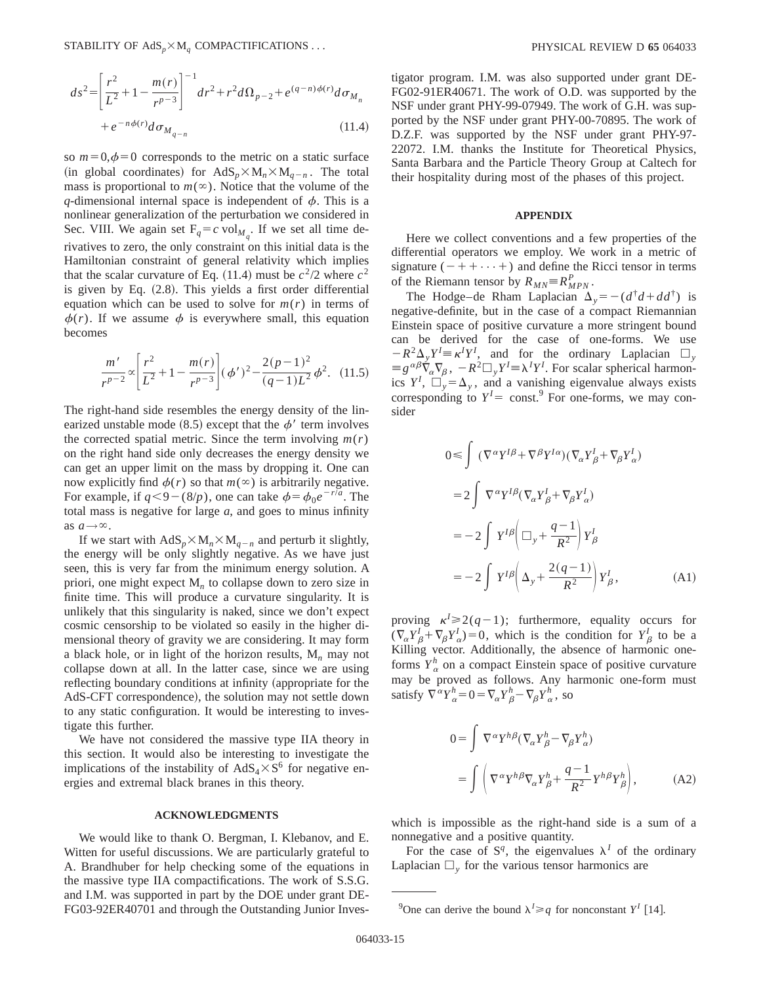$$
ds^{2} = \left[\frac{r^{2}}{L^{2}} + 1 - \frac{m(r)}{r^{p-3}}\right]^{-1} dr^{2} + r^{2} d\Omega_{p-2} + e^{(q-n)\phi(r)} d\sigma_{M_{n}} + e^{-n\phi(r)} d\sigma_{M_{q-n}}
$$
\n(11.4)

so  $m=0, \phi=0$  corresponds to the metric on a static surface  $(in$  global coordinates) for  $AdS_n \times M_n \times M_{n-n}$ . The total mass is proportional to  $m(\infty)$ . Notice that the volume of the *q*-dimensional internal space is independent of  $\phi$ . This is a nonlinear generalization of the perturbation we considered in Sec. VIII. We again set  $F_q = c \text{ vol}_{M_q}$ . If we set all time derivatives to zero, the only constraint on this initial data is the Hamiltonian constraint of general relativity which implies that the scalar curvature of Eq.  $(11.4)$  must be  $c^2/2$  where  $c^2$ is given by Eq.  $(2.8)$ . This yields a first order differential equation which can be used to solve for  $m(r)$  in terms of  $\phi(r)$ . If we assume  $\phi$  is everywhere small, this equation becomes

$$
\frac{m'}{r^{p-2}} \propto \left[ \frac{r^2}{L^2} + 1 - \frac{m(r)}{r^{p-3}} \right] (\phi')^2 - \frac{2(p-1)^2}{(q-1)L^2} \phi^2. \tag{11.5}
$$

The right-hand side resembles the energy density of the linearized unstable mode  $(8.5)$  except that the  $\phi'$  term involves the corrected spatial metric. Since the term involving  $m(r)$ on the right hand side only decreases the energy density we can get an upper limit on the mass by dropping it. One can now explicitly find  $\phi(r)$  so that  $m(\infty)$  is arbitrarily negative. For example, if  $q<9-(8/p)$ , one can take  $\phi=\phi_0e^{-r/a}$ . The total mass is negative for large *a*, and goes to minus infinity as  $a \rightarrow \infty$ .

If we start with  $AdS_p \times M_n \times M_{q-n}$  and perturb it slightly, the energy will be only slightly negative. As we have just seen, this is very far from the minimum energy solution. A priori, one might expect M*<sup>n</sup>* to collapse down to zero size in finite time. This will produce a curvature singularity. It is unlikely that this singularity is naked, since we don't expect cosmic censorship to be violated so easily in the higher dimensional theory of gravity we are considering. It may form a black hole, or in light of the horizon results, M*<sup>n</sup>* may not collapse down at all. In the latter case, since we are using reflecting boundary conditions at infinity (appropriate for the AdS-CFT correspondence), the solution may not settle down to any static configuration. It would be interesting to investigate this further.

We have not considered the massive type IIA theory in this section. It would also be interesting to investigate the implications of the instability of  $AdS_4 \times S^6$  for negative energies and extremal black branes in this theory.

### **ACKNOWLEDGMENTS**

We would like to thank O. Bergman, I. Klebanov, and E. Witten for useful discussions. We are particularly grateful to A. Brandhuber for help checking some of the equations in the massive type IIA compactifications. The work of S.S.G. and I.M. was supported in part by the DOE under grant DE-FG03-92ER40701 and through the Outstanding Junior Investigator program. I.M. was also supported under grant DE-FG02-91ER40671. The work of O.D. was supported by the NSF under grant PHY-99-07949. The work of G.H. was supported by the NSF under grant PHY-00-70895. The work of D.Z.F. was supported by the NSF under grant PHY-97- 22072. I.M. thanks the Institute for Theoretical Physics, Santa Barbara and the Particle Theory Group at Caltech for their hospitality during most of the phases of this project.

### **APPENDIX**

Here we collect conventions and a few properties of the differential operators we employ. We work in a metric of signature  $(-++\cdots+)$  and define the Ricci tensor in terms of the Riemann tensor by  $R_{MN} \equiv R_{MPN}^P$ .

The Hodge–de Rham Laplacian  $\Delta$ <sub>y</sub> =  $-(d^{\dagger}d + dd^{\dagger})$  is negative-definite, but in the case of a compact Riemannian Einstein space of positive curvature a more stringent bound can be derived for the case of one-forms. We use  $-R^2\Delta_y Y^I = \kappa^I Y^I$ , and for the ordinary Laplacian  $\Box_y$  $\equiv g^{\alpha\beta}\nabla_{\alpha}\nabla_{\beta}, -R^2\square_yY^I \equiv \lambda^I Y^I$ . For scalar spherical harmonics  $Y^I$ ,  $\square_y = \Delta_y$ , and a vanishing eigenvalue always exists corresponding to  $Y^I$  = const.<sup>9</sup> For one-forms, we may consider

$$
0 \leq \int (\nabla^{\alpha} Y^{I\beta} + \nabla^{\beta} Y^{I\alpha}) (\nabla_{\alpha} Y^I_{\beta} + \nabla_{\beta} Y^I_{\alpha})
$$
  
\n
$$
= 2 \int \nabla^{\alpha} Y^{I\beta} (\nabla_{\alpha} Y^I_{\beta} + \nabla_{\beta} Y^I_{\alpha})
$$
  
\n
$$
= -2 \int Y^{I\beta} (\Box_y + \frac{q-1}{R^2}) Y^I_{\beta}
$$
  
\n
$$
= -2 \int Y^{I\beta} (\Delta_y + \frac{2(q-1)}{R^2}) Y^I_{\beta},
$$
 (A1)

proving  $\kappa^2 \geq 2(q-1)$ ; furthermore, equality occurs for  $(\nabla_{\alpha} Y_{\beta}^I + \nabla_{\beta} Y_{\alpha}^I) = 0$ , which is the condition for  $Y_{\beta}^I$  to be a Killing vector. Additionally, the absence of harmonic oneforms  $Y^h_{\alpha}$  on a compact Einstein space of positive curvature may be proved as follows. Any harmonic one-form must satisfy  $\nabla^{\alpha} Y_{\alpha}^{h} = 0 = \nabla_{\alpha} Y_{\beta}^{h} - \nabla_{\beta} Y_{\alpha}^{h}$ , so

$$
0 = \int \nabla^{\alpha} Y^{h\beta} (\nabla_{\alpha} Y_{\beta}^{h} - \nabla_{\beta} Y_{\alpha}^{h})
$$

$$
= \int \left( \nabla^{\alpha} Y^{h\beta} \nabla_{\alpha} Y_{\beta}^{h} + \frac{q-1}{R^{2}} Y^{h\beta} Y_{\beta}^{h} \right), \tag{A2}
$$

which is impossible as the right-hand side is a sum of a nonnegative and a positive quantity.

For the case of  $S^q$ , the eigenvalues  $\lambda^I$  of the ordinary Laplacian  $\Box$ <sub>y</sub> for the various tensor harmonics are

<sup>&</sup>lt;sup>9</sup>One can derive the bound  $\lambda^I \geq q$  for nonconstant  $Y^I$  [14].